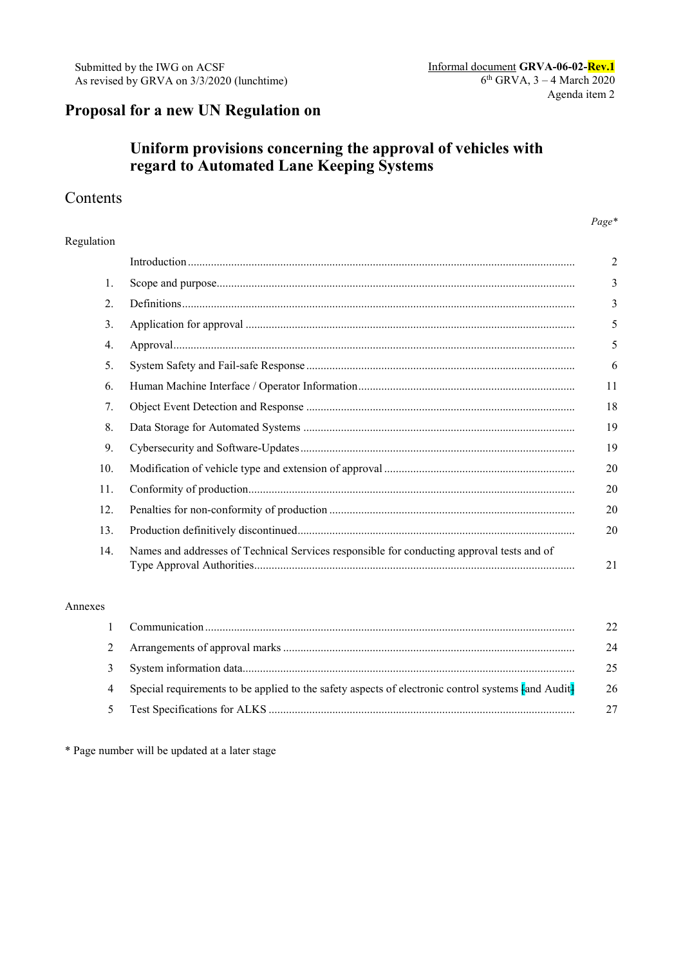# **Proposal for a new UN Regulation on**

# **Uniform provisions concerning the approval of vehicles with regard to Automated Lane Keeping Systems**

## Contents

#### *Page\**

#### Regulation

|     |                                                                                            | $\overline{a}$ |
|-----|--------------------------------------------------------------------------------------------|----------------|
| 1.  |                                                                                            | 3              |
| 2.  |                                                                                            | 3              |
| 3.  |                                                                                            | 5              |
| 4.  |                                                                                            | 5              |
| 5.  |                                                                                            | 6              |
| 6.  |                                                                                            | 11             |
| 7.  |                                                                                            | 18             |
| 8.  |                                                                                            | 19             |
| 9.  |                                                                                            | 19             |
| 10. |                                                                                            | 20             |
| 11. |                                                                                            | 20             |
| 12. |                                                                                            | 20             |
| 13. |                                                                                            | 20             |
| 14. | Names and addresses of Technical Services responsible for conducting approval tests and of | 21             |

#### Annexes

|                                                                                                      | 22 |
|------------------------------------------------------------------------------------------------------|----|
|                                                                                                      | 24 |
|                                                                                                      | 25 |
| 4 Special requirements to be applied to the safety aspects of electronic control systems Fand Audit- | 26 |
|                                                                                                      |    |

\* Page number will be updated at a later stage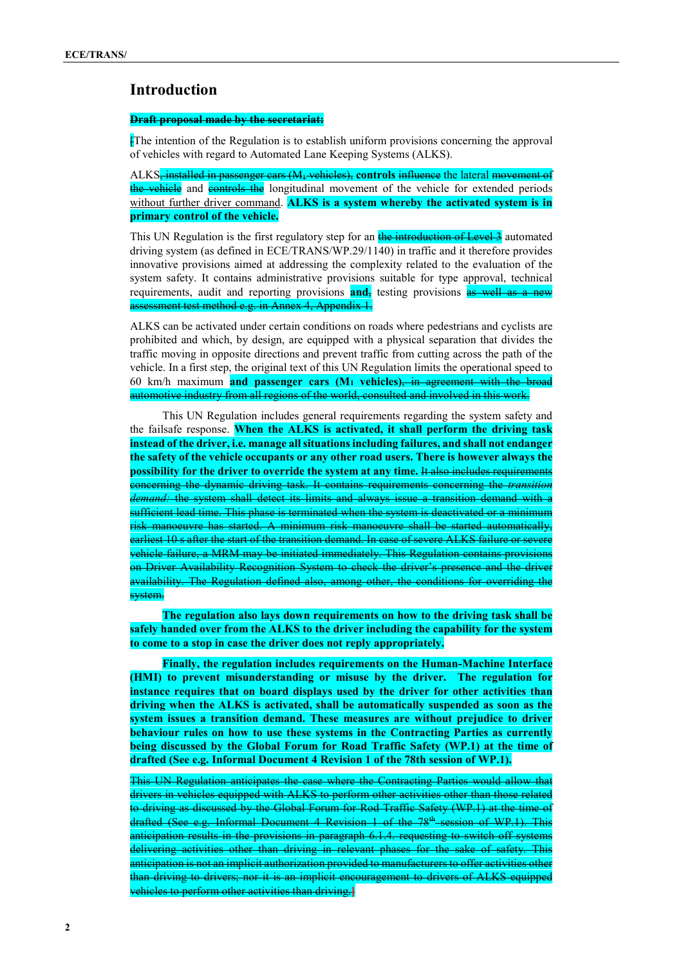### **Introduction**

#### **Draft proposal made by the secretariat:**

[The intention of the Regulation is to establish uniform provisions concerning the approval of vehicles with regard to Automated Lane Keeping Systems (ALKS).

ALKS, installed in passenger cars (M<sub>1</sub> vehicles), controls influence the lateral movement of the vehicle and controls the longitudinal movement of the vehicle for extended periods without further driver command. **ALKS is a system whereby the activated system is in primary control of the vehicle.**

This UN Regulation is the first regulatory step for an the introduction of Level 3 automated driving system (as defined in ECE/TRANS/WP.29/1140) in traffic and it therefore provides innovative provisions aimed at addressing the complexity related to the evaluation of the system safety. It contains administrative provisions suitable for type approval, technical requirements, audit and reporting provisions **and**, testing provisions as well as a new assessment test method e.g. in Annex 4, Appendix 1.

ALKS can be activated under certain conditions on roads where pedestrians and cyclists are prohibited and which, by design, are equipped with a physical separation that divides the traffic moving in opposite directions and prevent traffic from cutting across the path of the vehicle. In a first step, the original text of this UN Regulation limits the operational speed to 60 km/h maximum **and passenger cars (M1 vehicles)**, in agreement with the broad automotive industry from all regions of the world, consulted and involved in this work.

This UN Regulation includes general requirements regarding the system safety and the failsafe response. **When the ALKS is activated, it shall perform the driving task instead of the driver, i.e. manage all situations including failures, and shall not endanger the safety of the vehicle occupants or any other road users. There is however always the possibility for the driver to override the system at any time.** It also includes requirements concerning the dynamic driving task. It contains requirements concerning the *transition demand:* the system shall detect its limits and always issue a transition demand with a sufficient lead time. This phase is terminated when the system is deactivated or a minimum risk manoeuvre has started. A minimum risk manoeuvre shall be started automatically, earliest 10 s after the start of the transition demand. In case of severe ALKS failure or severe vehicle failure, a MRM may be initiated immediately. This Regulation contains provisions on Driver Availability Recognition System to check the driver's presence and the driver availability. The Regulation defined also, among other, the conditions for overriding the system.

**The regulation also lays down requirements on how to the driving task shall be safely handed over from the ALKS to the driver including the capability for the system to come to a stop in case the driver does not reply appropriately.** 

**Finally, the regulation includes requirements on the Human-Machine Interface (HMI) to prevent misunderstanding or misuse by the driver. The regulation for instance requires that on board displays used by the driver for other activities than driving when the ALKS is activated, shall be automatically suspended as soon as the system issues a transition demand. These measures are without prejudice to driver behaviour rules on how to use these systems in the Contracting Parties as currently being discussed by the Global Forum for Road Traffic Safety (WP.1) at the time of drafted (See e.g. Informal Document 4 Revision 1 of the 78th session of WP.1).**

This UN Regulation anticipates the case where the Contracting Parties would allow that drivers in vehicles equipped with ALKS to perform other activities other than those related to driving as discussed by the Global Forum for Rod Traffic Safety (WP.1) at the time of drafted (See e.g. Informal Document 4 Revision 1 of the 78<sup>th</sup> session of WP.1). This anticipation results in the provisions in paragraph 6.1.4. requesting to switch off systems delivering activities other than driving in relevant phases for the sake of safety. This anticipation is not an implicit authorization provided to manufacturers to offer activities other than driving to drivers; nor it is an implicit encouragement to drivers of ALKS equipped vehicles to perform other activities than driving.**]**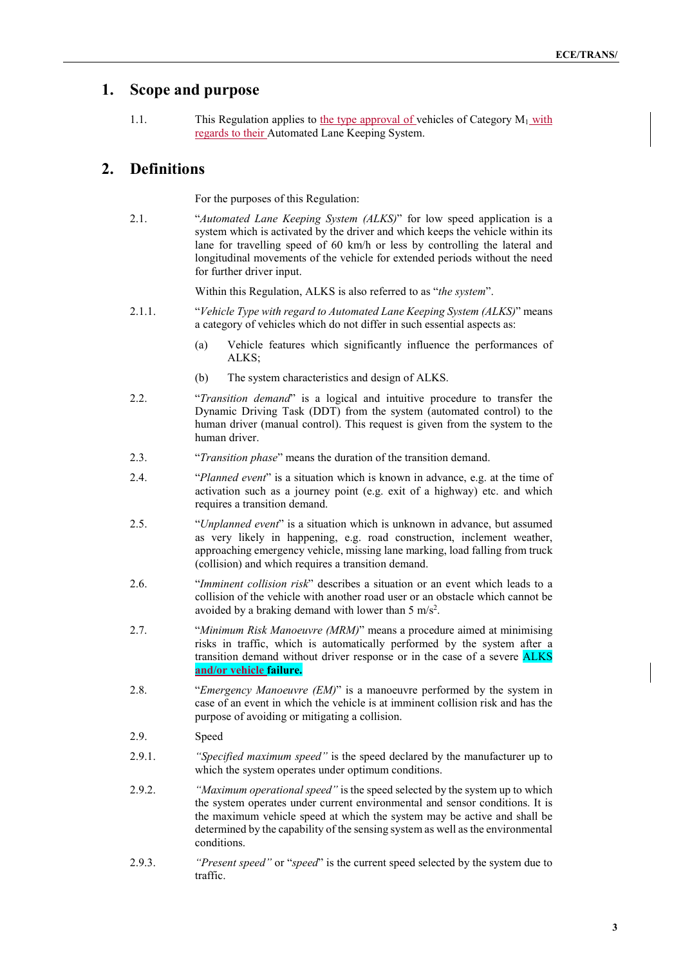### **1. Scope and purpose**

1.1. This Regulation applies to the type approval of vehicles of Category  $M_1$  with regards to their Automated Lane Keeping System.

### **2. Definitions**

For the purposes of this Regulation:

2.1. "*Automated Lane Keeping System (ALKS)*" for low speed application is a system which is activated by the driver and which keeps the vehicle within its lane for travelling speed of 60 km/h or less by controlling the lateral and longitudinal movements of the vehicle for extended periods without the need for further driver input.

Within this Regulation, ALKS is also referred to as "*the system*".

- 2.1.1. "*Vehicle Type with regard to Automated Lane Keeping System (ALKS)*" means a category of vehicles which do not differ in such essential aspects as:
	- (a) Vehicle features which significantly influence the performances of ALKS;
	- (b) The system characteristics and design of ALKS.
- 2.2. "*Transition demand*" is a logical and intuitive procedure to transfer the Dynamic Driving Task (DDT) from the system (automated control) to the human driver (manual control). This request is given from the system to the human driver.
- 2.3. "*Transition phase*" means the duration of the transition demand.
- 2.4. "*Planned event*" is a situation which is known in advance, e.g. at the time of activation such as a journey point (e.g. exit of a highway) etc. and which requires a transition demand.
- 2.5. "*Unplanned event*" is a situation which is unknown in advance, but assumed as very likely in happening, e.g. road construction, inclement weather, approaching emergency vehicle, missing lane marking, load falling from truck (collision) and which requires a transition demand.
- 2.6. "*Imminent collision risk*" describes a situation or an event which leads to a collision of the vehicle with another road user or an obstacle which cannot be avoided by a braking demand with lower than 5 m/s<sup>2</sup>.
- 2.7. "*Minimum Risk Manoeuvre (MRM)*" means a procedure aimed at minimising risks in traffic, which is automatically performed by the system after a transition demand without driver response or in the case of a severe **ALKS and/or vehicle failure.**
- 2.8. "*Emergency Manoeuvre (EM)*" is a manoeuvre performed by the system in case of an event in which the vehicle is at imminent collision risk and has the purpose of avoiding or mitigating a collision.
- 2.9. Speed
- 2.9.1. *"Specified maximum speed"* is the speed declared by the manufacturer up to which the system operates under optimum conditions.
- 2.9.2. *"Maximum operational speed"* is the speed selected by the system up to which the system operates under current environmental and sensor conditions. It is the maximum vehicle speed at which the system may be active and shall be determined by the capability of the sensing system as well as the environmental conditions.
- 2.9.3. *"Present speed"* or "*speed*" is the current speed selected by the system due to traffic.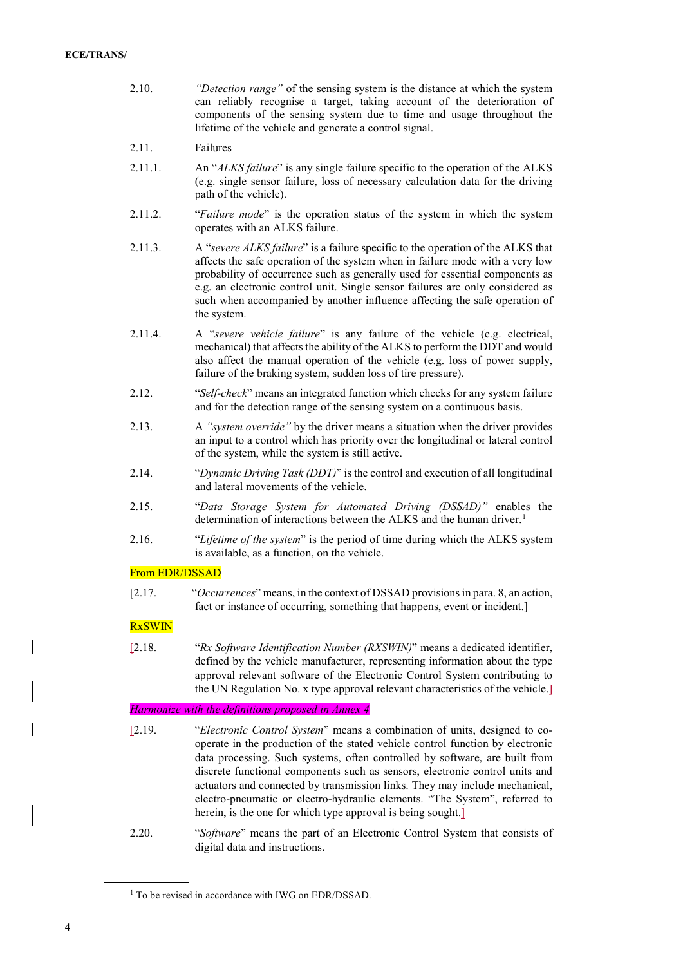- 2.10. *"Detection range"* of the sensing system is the distance at which the system can reliably recognise a target, taking account of the deterioration of components of the sensing system due to time and usage throughout the lifetime of the vehicle and generate a control signal.
- 2.11. Failures
- 2.11.1. An "*ALKS failure*" is any single failure specific to the operation of the ALKS (e.g. single sensor failure, loss of necessary calculation data for the driving path of the vehicle).
- 2.11.2. "*Failure mode*" is the operation status of the system in which the system operates with an ALKS failure.
- 2.11.3. A "*severe ALKS failure*" is a failure specific to the operation of the ALKS that affects the safe operation of the system when in failure mode with a very low probability of occurrence such as generally used for essential components as e.g. an electronic control unit. Single sensor failures are only considered as such when accompanied by another influence affecting the safe operation of the system.
- 2.11.4. A "*severe vehicle failure*" is any failure of the vehicle (e.g. electrical, mechanical) that affects the ability of the ALKS to perform the DDT and would also affect the manual operation of the vehicle (e.g. loss of power supply, failure of the braking system, sudden loss of tire pressure).
- 2.12. "*Self-check*" means an integrated function which checks for any system failure and for the detection range of the sensing system on a continuous basis.
- 2.13. A *"system override"* by the driver means a situation when the driver provides an input to a control which has priority over the longitudinal or lateral control of the system, while the system is still active.
- 2.14. "*Dynamic Driving Task (DDT)*" is the control and execution of all longitudinal and lateral movements of the vehicle.
- 2.15. "*Data Storage System for Automated Driving (DSSAD)"* enables the determination of interactions between the ALKS and the human driver.<sup>[1](#page-3-0)</sup>
- 2.16. "*Lifetime of the system*" is the period of time during which the ALKS system is available, as a function, on the vehicle.

#### From EDR/DSSAD

[2.17. "*Occurrences*" means, in the context of DSSAD provisions in para. 8, an action, fact or instance of occurring, something that happens, event or incident.]

#### **RxSWIN**

[2.18. "*Rx Software Identification Number (RXSWIN)*" means a dedicated identifier, defined by the vehicle manufacturer, representing information about the type approval relevant software of the Electronic Control System contributing to the UN Regulation No. x type approval relevant characteristics of the vehicle.]

#### *Harmonize with the definitions proposed in Annex 4*

- [2.19. "*Electronic Control System*" means a combination of units, designed to cooperate in the production of the stated vehicle control function by electronic data processing. Such systems, often controlled by software, are built from discrete functional components such as sensors, electronic control units and actuators and connected by transmission links. They may include mechanical, electro-pneumatic or electro-hydraulic elements. "The System", referred to herein, is the one for which type approval is being sought.]
- 2.20. "*Software*" means the part of an Electronic Control System that consists of digital data and instructions.

<span id="page-3-0"></span><sup>&</sup>lt;sup>1</sup> To be revised in accordance with IWG on EDR/DSSAD.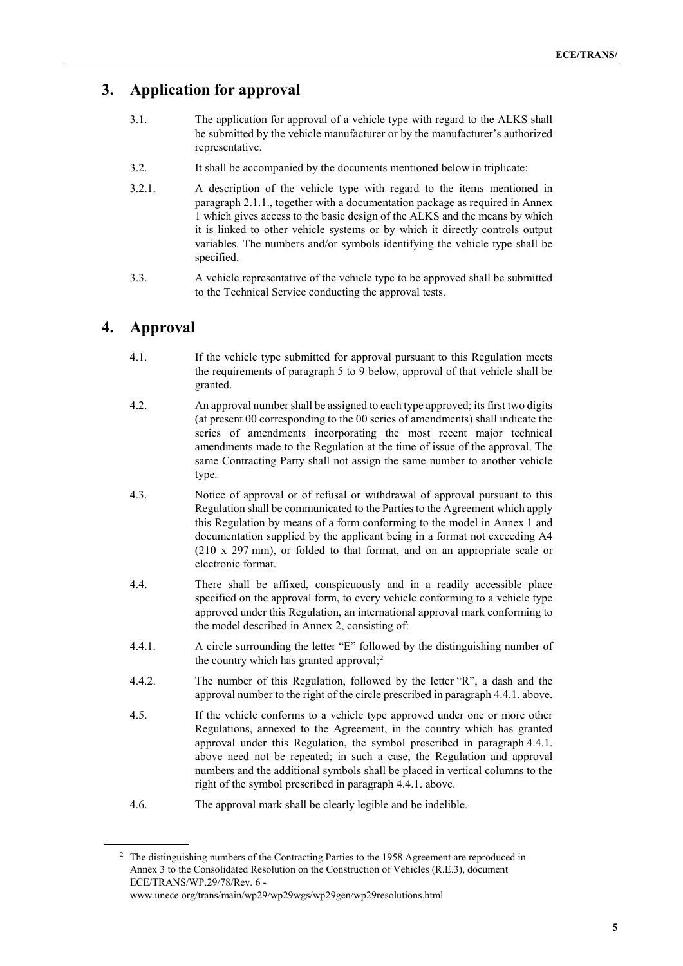## **3. Application for approval**

- 3.1. The application for approval of a vehicle type with regard to the ALKS shall be submitted by the vehicle manufacturer or by the manufacturer's authorized representative.
- 3.2. It shall be accompanied by the documents mentioned below in triplicate:
- 3.2.1. A description of the vehicle type with regard to the items mentioned in paragraph 2.1.1., together with a documentation package as required in Annex 1 which gives access to the basic design of the ALKS and the means by which it is linked to other vehicle systems or by which it directly controls output variables. The numbers and/or symbols identifying the vehicle type shall be specified.
- 3.3. A vehicle representative of the vehicle type to be approved shall be submitted to the Technical Service conducting the approval tests.

## **4. Approval**

- 4.1. If the vehicle type submitted for approval pursuant to this Regulation meets the requirements of paragraph 5 to 9 below, approval of that vehicle shall be granted.
- 4.2. An approval number shall be assigned to each type approved; its first two digits (at present 00 corresponding to the 00 series of amendments) shall indicate the series of amendments incorporating the most recent major technical amendments made to the Regulation at the time of issue of the approval. The same Contracting Party shall not assign the same number to another vehicle type.
- 4.3. Notice of approval or of refusal or withdrawal of approval pursuant to this Regulation shall be communicated to the Parties to the Agreement which apply this Regulation by means of a form conforming to the model in Annex 1 and documentation supplied by the applicant being in a format not exceeding A4 (210 x 297 mm), or folded to that format, and on an appropriate scale or electronic format.
- 4.4. There shall be affixed, conspicuously and in a readily accessible place specified on the approval form, to every vehicle conforming to a vehicle type approved under this Regulation, an international approval mark conforming to the model described in Annex 2, consisting of:
- 4.4.1. A circle surrounding the letter "E" followed by the distinguishing number of the country which has granted approval;<sup>[2](#page-4-0)</sup>
- 4.4.2. The number of this Regulation, followed by the letter "R", a dash and the approval number to the right of the circle prescribed in paragraph 4.4.1. above.
- 4.5. If the vehicle conforms to a vehicle type approved under one or more other Regulations, annexed to the Agreement, in the country which has granted approval under this Regulation, the symbol prescribed in paragraph 4.4.1. above need not be repeated; in such a case, the Regulation and approval numbers and the additional symbols shall be placed in vertical columns to the right of the symbol prescribed in paragraph 4.4.1. above.
- 4.6. The approval mark shall be clearly legible and be indelible.

<span id="page-4-0"></span><sup>&</sup>lt;sup>2</sup> The distinguishing numbers of the Contracting Parties to the 1958 Agreement are reproduced in Annex 3 to the Consolidated Resolution on the Construction of Vehicles (R.E.3), document ECE/TRANS/WP.29/78/Rev. 6 [www.unece.org/trans/main/wp29/wp29wgs/wp29gen/wp29resolutions.html](http://www.unece.org/trans/main/wp29/wp29wgs/wp29gen/wp29resolutions.html)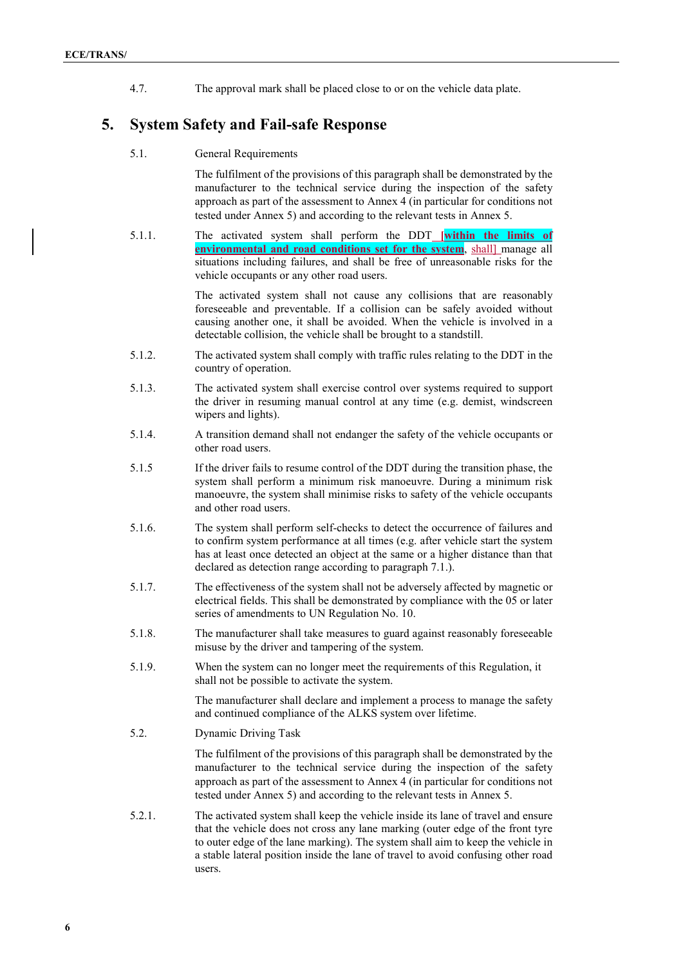4.7. The approval mark shall be placed close to or on the vehicle data plate.

### **5. System Safety and Fail-safe Response**

5.1. General Requirements

The fulfilment of the provisions of this paragraph shall be demonstrated by the manufacturer to the technical service during the inspection of the safety approach as part of the assessment to Annex 4 (in particular for conditions not tested under Annex 5) and according to the relevant tests in Annex 5.

5.1.1. The activated system shall perform the DDT **[within the limits of environmental and road conditions set for the system**, shall] manage all situations including failures, and shall be free of unreasonable risks for the vehicle occupants or any other road users.

> The activated system shall not cause any collisions that are reasonably foreseeable and preventable. If a collision can be safely avoided without causing another one, it shall be avoided. When the vehicle is involved in a detectable collision, the vehicle shall be brought to a standstill.

- 5.1.2. The activated system shall comply with traffic rules relating to the DDT in the country of operation.
- 5.1.3. The activated system shall exercise control over systems required to support the driver in resuming manual control at any time (e.g. demist, windscreen wipers and lights).
- 5.1.4. A transition demand shall not endanger the safety of the vehicle occupants or other road users.
- 5.1.5 If the driver fails to resume control of the DDT during the transition phase, the system shall perform a minimum risk manoeuvre. During a minimum risk manoeuvre, the system shall minimise risks to safety of the vehicle occupants and other road users.
- 5.1.6. The system shall perform self-checks to detect the occurrence of failures and to confirm system performance at all times (e.g. after vehicle start the system has at least once detected an object at the same or a higher distance than that declared as detection range according to paragraph 7.1.).
- 5.1.7. The effectiveness of the system shall not be adversely affected by magnetic or electrical fields. This shall be demonstrated by compliance with the 05 or later series of amendments to UN Regulation No. 10.
- 5.1.8. The manufacturer shall take measures to guard against reasonably foreseeable misuse by the driver and tampering of the system.
- 5.1.9. When the system can no longer meet the requirements of this Regulation, it shall not be possible to activate the system.

The manufacturer shall declare and implement a process to manage the safety and continued compliance of the ALKS system over lifetime.

5.2. Dynamic Driving Task

The fulfilment of the provisions of this paragraph shall be demonstrated by the manufacturer to the technical service during the inspection of the safety approach as part of the assessment to Annex 4 (in particular for conditions not tested under Annex 5) and according to the relevant tests in Annex 5.

5.2.1. The activated system shall keep the vehicle inside its lane of travel and ensure that the vehicle does not cross any lane marking (outer edge of the front tyre to outer edge of the lane marking). The system shall aim to keep the vehicle in a stable lateral position inside the lane of travel to avoid confusing other road users.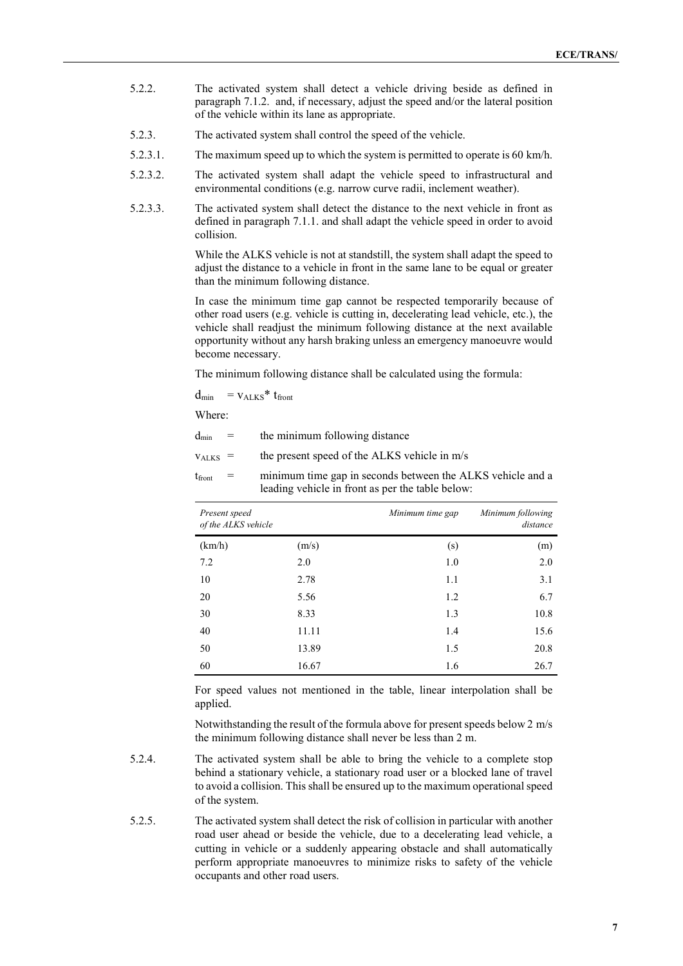- 5.2.2. The activated system shall detect a vehicle driving beside as defined in paragraph 7.1.2. and, if necessary, adjust the speed and/or the lateral position of the vehicle within its lane as appropriate.
- 5.2.3. The activated system shall control the speed of the vehicle.
- 5.2.3.1. The maximum speed up to which the system is permitted to operate is 60 km/h.
- 5.2.3.2. The activated system shall adapt the vehicle speed to infrastructural and environmental conditions (e.g. narrow curve radii, inclement weather).
- 5.2.3.3. The activated system shall detect the distance to the next vehicle in front as defined in paragraph 7.1.1. and shall adapt the vehicle speed in order to avoid collision.

While the ALKS vehicle is not at standstill, the system shall adapt the speed to adjust the distance to a vehicle in front in the same lane to be equal or greater than the minimum following distance.

In case the minimum time gap cannot be respected temporarily because of other road users (e.g. vehicle is cutting in, decelerating lead vehicle, etc.), the vehicle shall readjust the minimum following distance at the next available opportunity without any harsh braking unless an emergency manoeuvre would become necessary.

The minimum following distance shall be calculated using the formula:

 $d_{min}$  =  $v_{ALKS}$ <sup>\*</sup>  $t_{front}$ 

Where:

| $d_{\min}$ | the minimum following distance |  |
|------------|--------------------------------|--|
|            |                                |  |

 $v_{ALKS}$  = the present speed of the ALKS vehicle in m/s

| tfront | $=$ | minimum time gap in seconds between the ALKS vehicle and a |
|--------|-----|------------------------------------------------------------|
|        |     | leading vehicle in front as per the table below:           |

| Present speed<br>of the ALKS vehicle |       | Minimum time gap | Minimum following<br>distance |
|--------------------------------------|-------|------------------|-------------------------------|
| (km/h)                               | (m/s) | (s)              | (m)                           |
| 7.2                                  | 2.0   | 1.0              | 2.0                           |
| 10                                   | 2.78  | 1.1              | 3.1                           |
| 20                                   | 5.56  | 1.2              | 6.7                           |
| 30                                   | 8.33  | 1.3              | 10.8                          |
| 40                                   | 11.11 | 1.4              | 15.6                          |
| 50                                   | 13.89 | 1.5              | 20.8                          |
| 60                                   | 16.67 | 1.6              | 26.7                          |

For speed values not mentioned in the table, linear interpolation shall be applied.

Notwithstanding the result of the formula above for present speeds below 2 m/s the minimum following distance shall never be less than 2 m.

- 5.2.4. The activated system shall be able to bring the vehicle to a complete stop behind a stationary vehicle, a stationary road user or a blocked lane of travel to avoid a collision. This shall be ensured up to the maximum operational speed of the system.
- 5.2.5. The activated system shall detect the risk of collision in particular with another road user ahead or beside the vehicle, due to a decelerating lead vehicle, a cutting in vehicle or a suddenly appearing obstacle and shall automatically perform appropriate manoeuvres to minimize risks to safety of the vehicle occupants and other road users.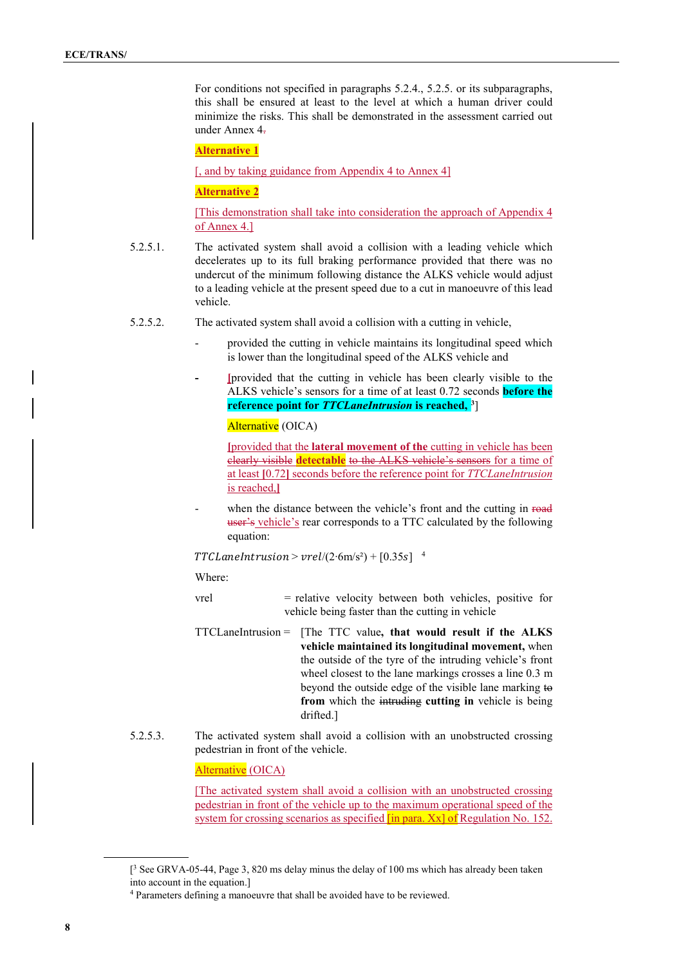For conditions not specified in paragraphs 5.2.4., 5.2.5. or its subparagraphs, this shall be ensured at least to the level at which a human driver could minimize the risks. This shall be demonstrated in the assessment carried out under Annex 4.

**Alternative 1**

[, and by taking guidance from Appendix 4 to Annex 4]

#### **Alternative 2**

[This demonstration shall take into consideration the approach of Appendix 4 of Annex 4.]

- 5.2.5.1. The activated system shall avoid a collision with a leading vehicle which decelerates up to its full braking performance provided that there was no undercut of the minimum following distance the ALKS vehicle would adjust to a leading vehicle at the present speed due to a cut in manoeuvre of this lead vehicle.
- 5.2.5.2. The activated system shall avoid a collision with a cutting in vehicle,
	- provided the cutting in vehicle maintains its longitudinal speed which is lower than the longitudinal speed of the ALKS vehicle and
	- **- [**provided that the cutting in vehicle has been clearly visible to the ALKS vehicle's sensors for a time of at least 0.72 seconds **before the reference point for** *TTCLaneIntrusion* **is reached, [3](#page-7-0)**]

Alternative (OICA)

**[**provided that the **lateral movement of the** cutting in vehicle has been clearly visible **detectable** to the ALKS vehicle's sensors for a time of at least **[**0.72**]** seconds before the reference point for *TTCLaneIntrusion*  is reached,**]**

when the distance between the vehicle's front and the cutting in road user's vehicle's rear corresponds to a TTC calculated by the following equation:

 $TTCLanelntrusion > vrel/(2·6m/s<sup>2</sup>) + [0.35s]$ <sup>[4](#page-7-1)</sup>

Where:

- vrel = relative velocity between both vehicles, positive for vehicle being faster than the cutting in vehicle
- TTCLaneIntrusion = [The TTC value**, that would result if the ALKS vehicle maintained its longitudinal movement,** when the outside of the tyre of the intruding vehicle's front wheel closest to the lane markings crosses a line 0.3 m beyond the outside edge of the visible lane marking to **from** which the intruding **cutting in** vehicle is being drifted.]
- 5.2.5.3. The activated system shall avoid a collision with an unobstructed crossing pedestrian in front of the vehicle.

Alternative (OICA)

[The activated system shall avoid a collision with an unobstructed crossing pedestrian in front of the vehicle up to the maximum operational speed of the system for crossing scenarios as specified [in para. Xx] of Regulation No. 152.

<span id="page-7-0"></span><sup>[</sup> <sup>3</sup> See GRVA-05-44, Page 3, 820 ms delay minus the delay of 100 ms which has already been taken into account in the equation.]

<span id="page-7-1"></span><sup>4</sup> Parameters defining a manoeuvre that shall be avoided have to be reviewed.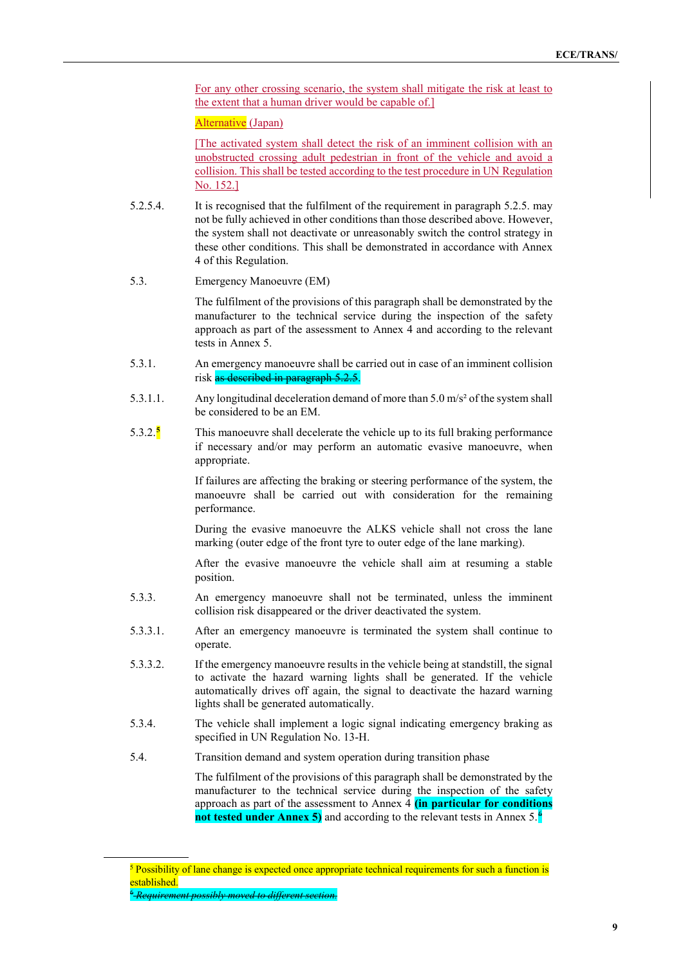For any other crossing scenario, the system shall mitigate the risk at least to the extent that a human driver would be capable of.]

Alternative (Japan)

[The activated system shall detect the risk of an imminent collision with an unobstructed crossing adult pedestrian in front of the vehicle and avoid a collision. This shall be tested according to the test procedure in UN Regulation No. 152.]

- 5.2.5.4. It is recognised that the fulfilment of the requirement in paragraph 5.2.5. may not be fully achieved in other conditions than those described above. However, the system shall not deactivate or unreasonably switch the control strategy in these other conditions. This shall be demonstrated in accordance with Annex 4 of this Regulation.
- 5.3. Emergency Manoeuvre (EM)

The fulfilment of the provisions of this paragraph shall be demonstrated by the manufacturer to the technical service during the inspection of the safety approach as part of the assessment to Annex 4 and according to the relevant tests in Annex 5.

- 5.3.1. An emergency manoeuvre shall be carried out in case of an imminent collision risk as described in paragraph 5.2.5.
- 5.3.1.1. Any longitudinal deceleration demand of more than 5.0 m/s² of the system shall be considered to be an EM.
- 5.3.2.**[5](#page-8-0)** This manoeuvre shall decelerate the vehicle up to its full braking performance if necessary and/or may perform an automatic evasive manoeuvre, when appropriate.

If failures are affecting the braking or steering performance of the system, the manoeuvre shall be carried out with consideration for the remaining performance.

During the evasive manoeuvre the ALKS vehicle shall not cross the lane marking (outer edge of the front tyre to outer edge of the lane marking).

After the evasive manoeuvre the vehicle shall aim at resuming a stable position.

- 5.3.3. An emergency manoeuvre shall not be terminated, unless the imminent collision risk disappeared or the driver deactivated the system.
- 5.3.3.1. After an emergency manoeuvre is terminated the system shall continue to operate.
- 5.3.3.2. If the emergency manoeuvre results in the vehicle being at standstill, the signal to activate the hazard warning lights shall be generated. If the vehicle automatically drives off again, the signal to deactivate the hazard warning lights shall be generated automatically.
- 5.3.4. The vehicle shall implement a logic signal indicating emergency braking as specified in UN Regulation No. 13-H.
- 5.4. Transition demand and system operation during transition phase

The fulfilment of the provisions of this paragraph shall be demonstrated by the manufacturer to the technical service during the inspection of the safety approach as part of the assessment to Annex 4 **(in particular for conditions not tested under Annex 5)** and according to the relevant tests in Annex 5. [6](#page-8-1)

<span id="page-8-1"></span><span id="page-8-0"></span> $<sup>5</sup>$  Possibility of lane change is expected once appropriate technical requirements for such a function is</sup> established.

<sup>6</sup> *Requirement possibly moved to different section.*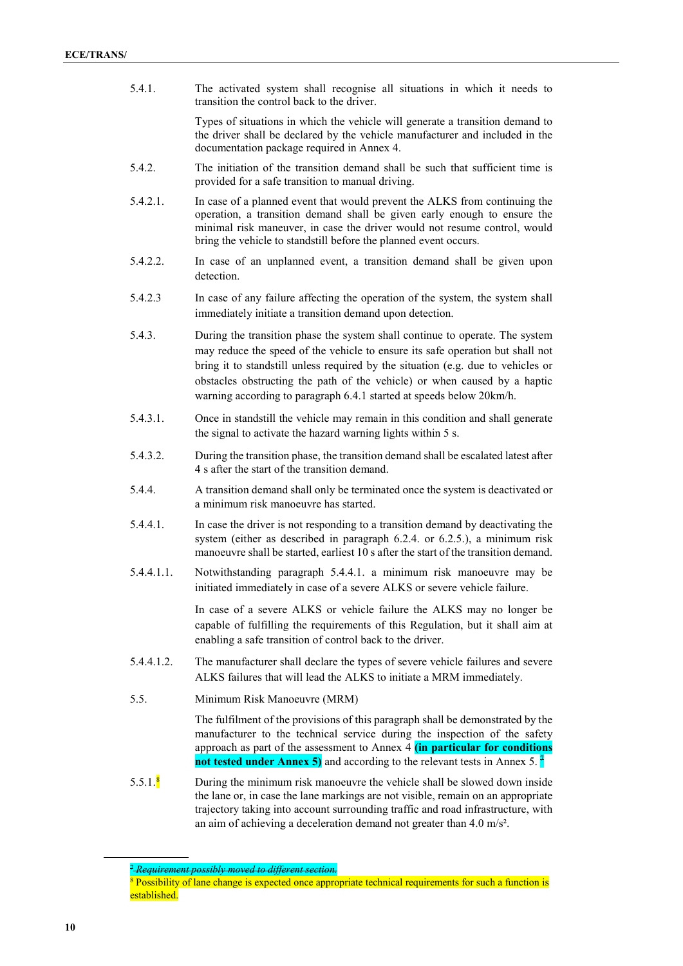5.4.1. The activated system shall recognise all situations in which it needs to transition the control back to the driver.

> Types of situations in which the vehicle will generate a transition demand to the driver shall be declared by the vehicle manufacturer and included in the documentation package required in Annex 4.

- 5.4.2. The initiation of the transition demand shall be such that sufficient time is provided for a safe transition to manual driving.
- 5.4.2.1. In case of a planned event that would prevent the ALKS from continuing the operation, a transition demand shall be given early enough to ensure the minimal risk maneuver, in case the driver would not resume control, would bring the vehicle to standstill before the planned event occurs.
- 5.4.2.2. In case of an unplanned event, a transition demand shall be given upon detection.
- 5.4.2.3 In case of any failure affecting the operation of the system, the system shall immediately initiate a transition demand upon detection.
- 5.4.3. During the transition phase the system shall continue to operate. The system may reduce the speed of the vehicle to ensure its safe operation but shall not bring it to standstill unless required by the situation (e.g. due to vehicles or obstacles obstructing the path of the vehicle) or when caused by a haptic warning according to paragraph 6.4.1 started at speeds below 20km/h.
- 5.4.3.1. Once in standstill the vehicle may remain in this condition and shall generate the signal to activate the hazard warning lights within 5 s.
- 5.4.3.2. During the transition phase, the transition demand shall be escalated latest after 4 s after the start of the transition demand.
- 5.4.4. A transition demand shall only be terminated once the system is deactivated or a minimum risk manoeuvre has started.
- 5.4.4.1. In case the driver is not responding to a transition demand by deactivating the system (either as described in paragraph 6.2.4. or 6.2.5.), a minimum risk manoeuvre shall be started, earliest 10 s after the start of the transition demand.
- 5.4.4.1.1. Notwithstanding paragraph 5.4.4.1. a minimum risk manoeuvre may be initiated immediately in case of a severe ALKS or severe vehicle failure.

In case of a severe ALKS or vehicle failure the ALKS may no longer be capable of fulfilling the requirements of this Regulation, but it shall aim at enabling a safe transition of control back to the driver.

- 5.4.4.1.2. The manufacturer shall declare the types of severe vehicle failures and severe ALKS failures that will lead the ALKS to initiate a MRM immediately.
- 5.5. Minimum Risk Manoeuvre (MRM)

The fulfilment of the provisions of this paragraph shall be demonstrated by the manufacturer to the technical service during the inspection of the safety approach as part of the assessment to Annex 4 **(in particular for conditions not tested under Annex 5)** and according to the relevant tests in Annex 5.<sup>[7](#page-9-0)</sup>

5.5.1. $\frac{8}{10}$  $\frac{8}{10}$  $\frac{8}{10}$  During the minimum risk manoeuvre the vehicle shall be slowed down inside the lane or, in case the lane markings are not visible, remain on an appropriate trajectory taking into account surrounding traffic and road infrastructure, with an aim of achieving a deceleration demand not greater than 4.0 m/s².

<sup>7</sup> *Requirement possibly moved to different section.*

<span id="page-9-1"></span><span id="page-9-0"></span><sup>&</sup>lt;sup>8</sup> Possibility of lane change is expected once appropriate technical requirements for such a function is established.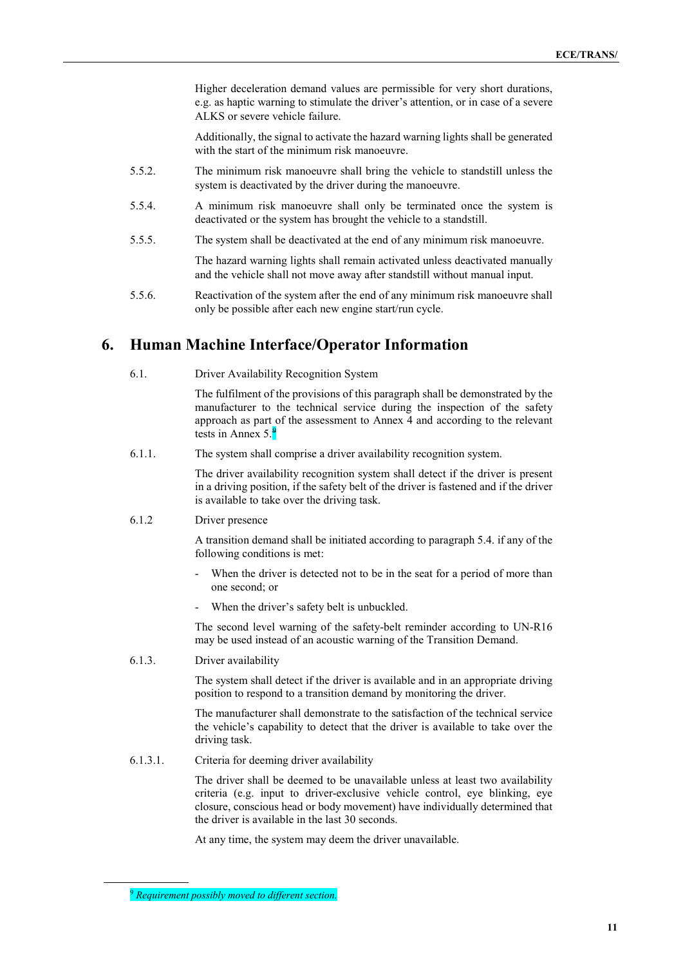Higher deceleration demand values are permissible for very short durations, e.g. as haptic warning to stimulate the driver's attention, or in case of a severe ALKS or severe vehicle failure.

Additionally, the signal to activate the hazard warning lights shall be generated with the start of the minimum risk manoeuvre.

- 5.5.2. The minimum risk manoeuvre shall bring the vehicle to standstill unless the system is deactivated by the driver during the manoeuvre.
- 5.5.4. A minimum risk manoeuvre shall only be terminated once the system is deactivated or the system has brought the vehicle to a standstill.
- 5.5.5. The system shall be deactivated at the end of any minimum risk manoeuvre.

The hazard warning lights shall remain activated unless deactivated manually and the vehicle shall not move away after standstill without manual input.

5.5.6. Reactivation of the system after the end of any minimum risk manoeuvre shall only be possible after each new engine start/run cycle.

### **6. Human Machine Interface/Operator Information**

6.1. Driver Availability Recognition System

The fulfilment of the provisions of this paragraph shall be demonstrated by the manufacturer to the technical service during the inspection of the safety approach as part of the assessment to Annex 4 and according to the relevant tests in Annex 5.<sup>[9](#page-10-0)</sup>

6.1.1. The system shall comprise a driver availability recognition system.

The driver availability recognition system shall detect if the driver is present in a driving position, if the safety belt of the driver is fastened and if the driver is available to take over the driving task.

6.1.2 Driver presence

A transition demand shall be initiated according to paragraph 5.4. if any of the following conditions is met:

- When the driver is detected not to be in the seat for a period of more than one second; or
- When the driver's safety belt is unbuckled.

The second level warning of the safety-belt reminder according to UN-R16 may be used instead of an acoustic warning of the Transition Demand.

6.1.3. Driver availability

The system shall detect if the driver is available and in an appropriate driving position to respond to a transition demand by monitoring the driver.

The manufacturer shall demonstrate to the satisfaction of the technical service the vehicle's capability to detect that the driver is available to take over the driving task.

6.1.3.1. Criteria for deeming driver availability

The driver shall be deemed to be unavailable unless at least two availability criteria (e.g. input to driver-exclusive vehicle control, eye blinking, eye closure, conscious head or body movement) have individually determined that the driver is available in the last 30 seconds.

At any time, the system may deem the driver unavailable.

<span id="page-10-0"></span><sup>9</sup> *Requirement possibly moved to different section.*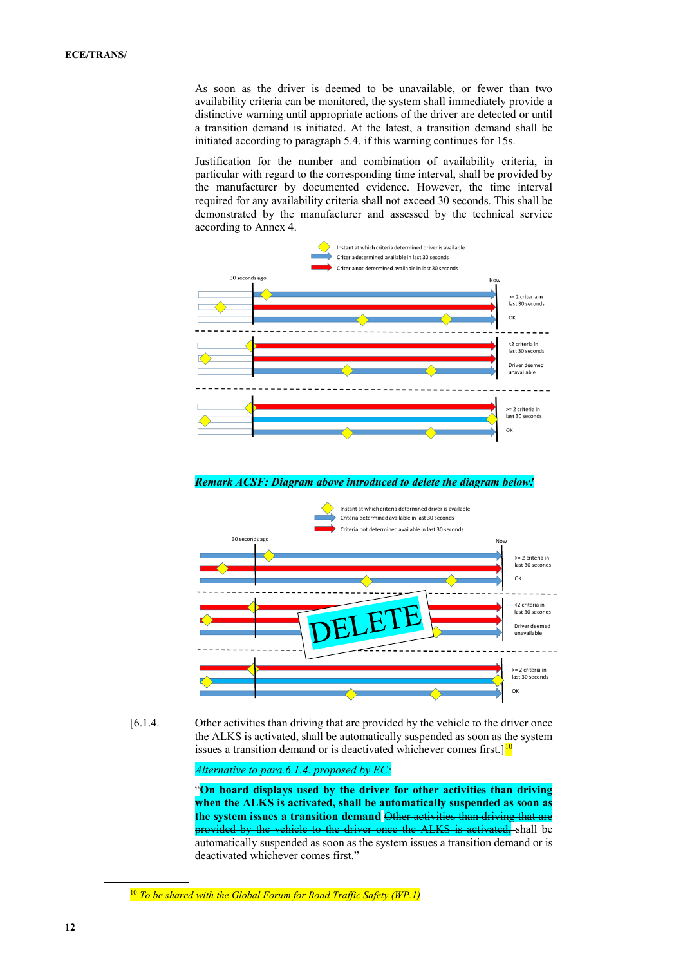As soon as the driver is deemed to be unavailable, or fewer than two availability criteria can be monitored, the system shall immediately provide a distinctive warning until appropriate actions of the driver are detected or until a transition demand is initiated. At the latest, a transition demand shall be initiated according to paragraph 5.4. if this warning continues for 15s.

Justification for the number and combination of availability criteria, in particular with regard to the corresponding time interval, shall be provided by the manufacturer by documented evidence. However, the time interval required for any availability criteria shall not exceed 30 seconds. This shall be demonstrated by the manufacturer and assessed by the technical service according to Annex 4.



*Remark ACSF: Diagram above introduced to delete the diagram below!*



[6.1.4. Other activities than driving that are provided by the vehicle to the driver once the ALKS is activated, shall be automatically suspended as soon as the system issues a transition demand or is deactivated whichever comes first. $]^{10}$  $]^{10}$  $]^{10}$ 

*Alternative to para.6.1.4. proposed by EC:*

"**On board displays used by the driver for other activities than driving when the ALKS is activated, shall be automatically suspended as soon as**  the system issues a transition demand Other activities than driving that provided by the vehicle to the driver once the ALKS is activated, shall be automatically suspended as soon as the system issues a transition demand or is deactivated whichever comes first."

<span id="page-11-0"></span><sup>10</sup> *To be shared with the Global Forum for Road Traffic Safety (WP.1)*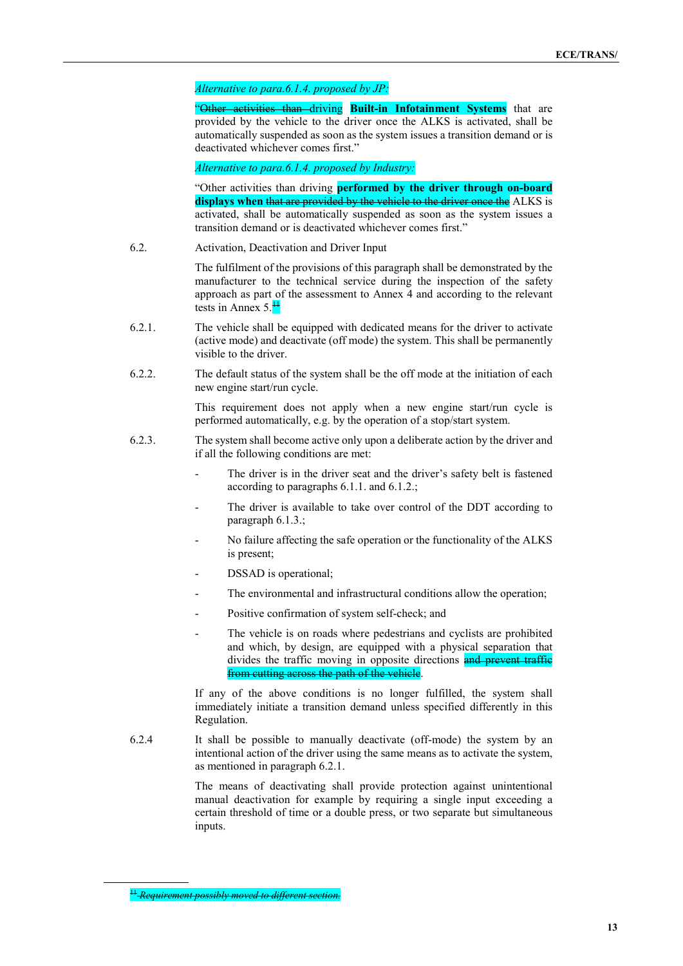#### *Alternative to para.6.1.4. proposed by JP:*

**activities than driving Built-in Infotainment Systems** that are provided by the vehicle to the driver once the ALKS is activated, shall be automatically suspended as soon as the system issues a transition demand or is deactivated whichever comes first."

*Alternative to para.6.1.4. proposed by Industry:*

"Other activities than driving **performed by the driver through on-board**  displays when that are provided by the vehicle to the driver once the ALKS is activated, shall be automatically suspended as soon as the system issues a transition demand or is deactivated whichever comes first."

6.2. Activation, Deactivation and Driver Input

The fulfilment of the provisions of this paragraph shall be demonstrated by the manufacturer to the technical service during the inspection of the safety approach as part of the assessment to Annex 4 and according to the relevant tests in Annex 5.<sup>[11](#page-12-0)</sup>

- 6.2.1. The vehicle shall be equipped with dedicated means for the driver to activate (active mode) and deactivate (off mode) the system. This shall be permanently visible to the driver.
- 6.2.2. The default status of the system shall be the off mode at the initiation of each new engine start/run cycle.

This requirement does not apply when a new engine start/run cycle is performed automatically, e.g. by the operation of a stop/start system.

- 6.2.3. The system shall become active only upon a deliberate action by the driver and if all the following conditions are met:
	- The driver is in the driver seat and the driver's safety belt is fastened according to paragraphs 6.1.1. and 6.1.2.;
	- The driver is available to take over control of the DDT according to paragraph 6.1.3.;
	- No failure affecting the safe operation or the functionality of the ALKS is present;
	- DSSAD is operational;
	- The environmental and infrastructural conditions allow the operation;
	- Positive confirmation of system self-check; and
	- The vehicle is on roads where pedestrians and cyclists are prohibited and which, by design, are equipped with a physical separation that divides the traffic moving in opposite directions and prevent traffic from cutting across the path of the vehicle.

If any of the above conditions is no longer fulfilled, the system shall immediately initiate a transition demand unless specified differently in this Regulation.

6.2.4 It shall be possible to manually deactivate (off-mode) the system by an intentional action of the driver using the same means as to activate the system, as mentioned in paragraph 6.2.1.

> The means of deactivating shall provide protection against unintentional manual deactivation for example by requiring a single input exceeding a certain threshold of time or a double press, or two separate but simultaneous inputs.

<span id="page-12-0"></span><sup>&</sup>lt;sup>11</sup> Requirement possibly moved to different section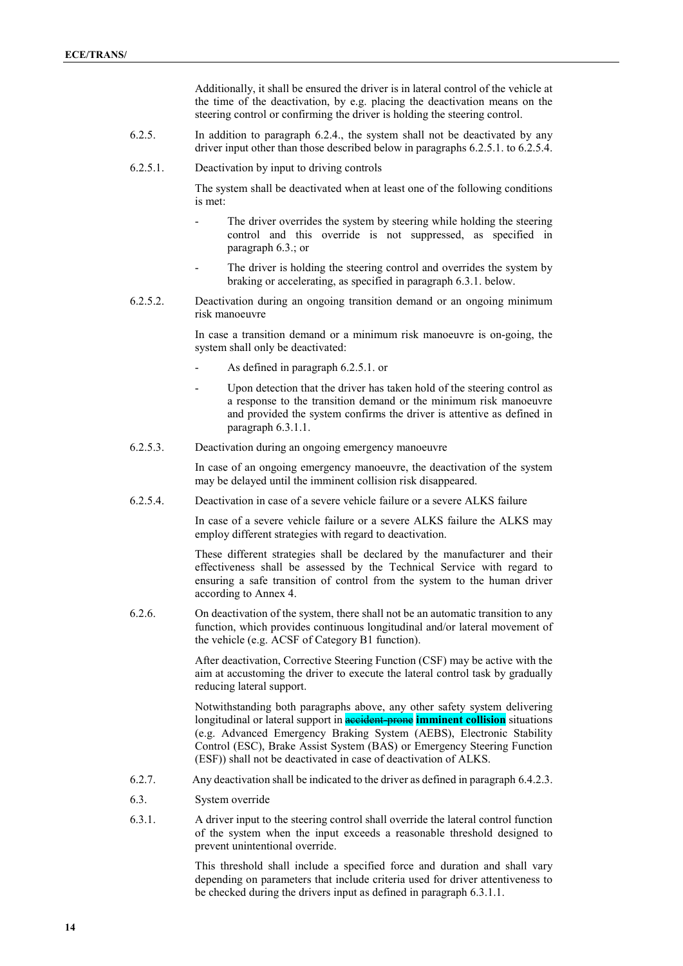Additionally, it shall be ensured the driver is in lateral control of the vehicle at the time of the deactivation, by e.g. placing the deactivation means on the steering control or confirming the driver is holding the steering control.

- 6.2.5. In addition to paragraph 6.2.4., the system shall not be deactivated by any driver input other than those described below in paragraphs 6.2.5.1. to 6.2.5.4.
- 6.2.5.1. Deactivation by input to driving controls

The system shall be deactivated when at least one of the following conditions is met:

- The driver overrides the system by steering while holding the steering control and this override is not suppressed, as specified in paragraph 6.3.; or
- The driver is holding the steering control and overrides the system by braking or accelerating, as specified in paragraph 6.3.1. below.
- 6.2.5.2. Deactivation during an ongoing transition demand or an ongoing minimum risk manoeuvre

In case a transition demand or a minimum risk manoeuvre is on-going, the system shall only be deactivated:

- As defined in paragraph 6.2.5.1. or
- Upon detection that the driver has taken hold of the steering control as a response to the transition demand or the minimum risk manoeuvre and provided the system confirms the driver is attentive as defined in paragraph 6.3.1.1.
- 6.2.5.3. Deactivation during an ongoing emergency manoeuvre

In case of an ongoing emergency manoeuvre, the deactivation of the system may be delayed until the imminent collision risk disappeared.

6.2.5.4. Deactivation in case of a severe vehicle failure or a severe ALKS failure

In case of a severe vehicle failure or a severe ALKS failure the ALKS may employ different strategies with regard to deactivation.

These different strategies shall be declared by the manufacturer and their effectiveness shall be assessed by the Technical Service with regard to ensuring a safe transition of control from the system to the human driver according to Annex 4.

6.2.6. On deactivation of the system, there shall not be an automatic transition to any function, which provides continuous longitudinal and/or lateral movement of the vehicle (e.g. ACSF of Category B1 function).

> After deactivation, Corrective Steering Function (CSF) may be active with the aim at accustoming the driver to execute the lateral control task by gradually reducing lateral support.

> Notwithstanding both paragraphs above, any other safety system delivering longitudinal or lateral support in **accident prone imminent collision** situations (e.g. Advanced Emergency Braking System (AEBS), Electronic Stability Control (ESC), Brake Assist System (BAS) or Emergency Steering Function (ESF)) shall not be deactivated in case of deactivation of ALKS.

- 6.2.7. Any deactivation shall be indicated to the driver as defined in paragraph 6.4.2.3.
- 6.3. System override
- 6.3.1. A driver input to the steering control shall override the lateral control function of the system when the input exceeds a reasonable threshold designed to prevent unintentional override.

This threshold shall include a specified force and duration and shall vary depending on parameters that include criteria used for driver attentiveness to be checked during the drivers input as defined in paragraph 6.3.1.1.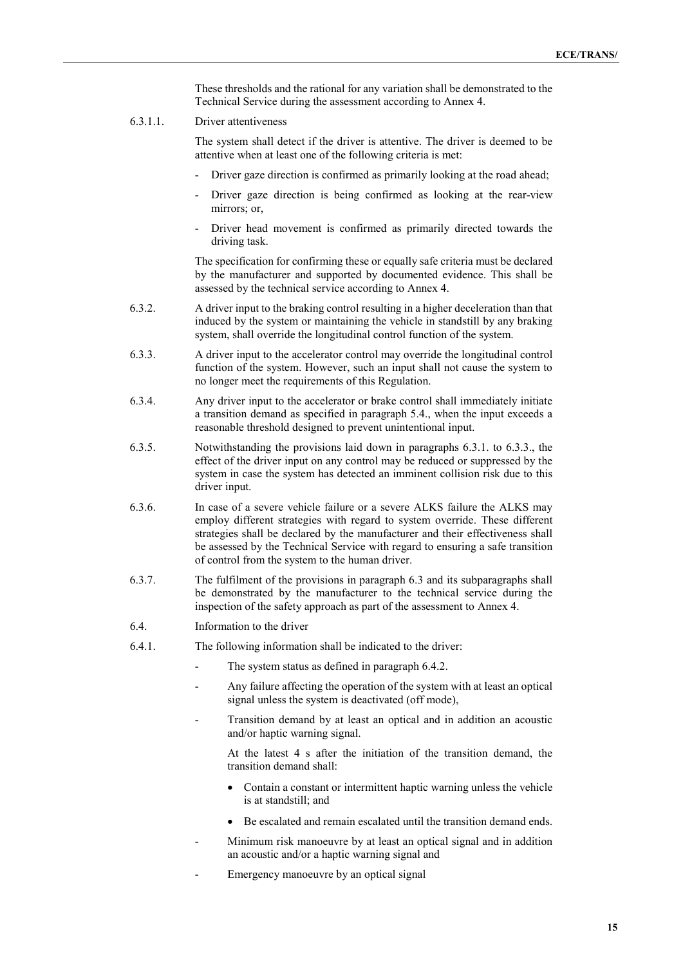These thresholds and the rational for any variation shall be demonstrated to the Technical Service during the assessment according to Annex 4.

6.3.1.1. Driver attentiveness

The system shall detect if the driver is attentive. The driver is deemed to be attentive when at least one of the following criteria is met:

- Driver gaze direction is confirmed as primarily looking at the road ahead;
- Driver gaze direction is being confirmed as looking at the rear-view mirrors; or,
- Driver head movement is confirmed as primarily directed towards the driving task.

The specification for confirming these or equally safe criteria must be declared by the manufacturer and supported by documented evidence. This shall be assessed by the technical service according to Annex 4.

- 6.3.2. A driver input to the braking control resulting in a higher deceleration than that induced by the system or maintaining the vehicle in standstill by any braking system, shall override the longitudinal control function of the system.
- 6.3.3. A driver input to the accelerator control may override the longitudinal control function of the system. However, such an input shall not cause the system to no longer meet the requirements of this Regulation.
- 6.3.4. Any driver input to the accelerator or brake control shall immediately initiate a transition demand as specified in paragraph 5.4., when the input exceeds a reasonable threshold designed to prevent unintentional input.
- 6.3.5. Notwithstanding the provisions laid down in paragraphs 6.3.1. to 6.3.3., the effect of the driver input on any control may be reduced or suppressed by the system in case the system has detected an imminent collision risk due to this driver input.
- 6.3.6. In case of a severe vehicle failure or a severe ALKS failure the ALKS may employ different strategies with regard to system override. These different strategies shall be declared by the manufacturer and their effectiveness shall be assessed by the Technical Service with regard to ensuring a safe transition of control from the system to the human driver.
- 6.3.7. The fulfilment of the provisions in paragraph 6.3 and its subparagraphs shall be demonstrated by the manufacturer to the technical service during the inspection of the safety approach as part of the assessment to Annex 4.
- 6.4. Information to the driver
- 6.4.1. The following information shall be indicated to the driver:
	- The system status as defined in paragraph 6.4.2.
	- Any failure affecting the operation of the system with at least an optical signal unless the system is deactivated (off mode),
	- Transition demand by at least an optical and in addition an acoustic and/or haptic warning signal.

At the latest 4 s after the initiation of the transition demand, the transition demand shall:

- Contain a constant or intermittent haptic warning unless the vehicle is at standstill; and
- Be escalated and remain escalated until the transition demand ends.
- Minimum risk manoeuvre by at least an optical signal and in addition an acoustic and/or a haptic warning signal and
- Emergency manoeuvre by an optical signal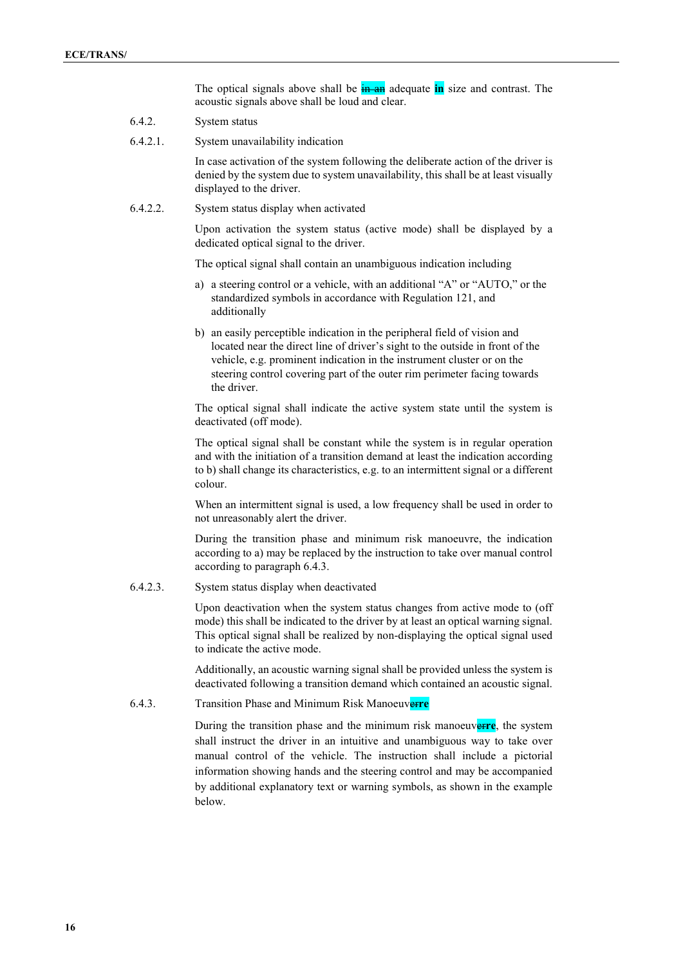The optical signals above shall be **in an** adequate **in** size and contrast. The acoustic signals above shall be loud and clear.

- 6.4.2. System status
- 6.4.2.1. System unavailability indication

In case activation of the system following the deliberate action of the driver is denied by the system due to system unavailability, this shall be at least visually displayed to the driver.

#### 6.4.2.2. System status display when activated

Upon activation the system status (active mode) shall be displayed by a dedicated optical signal to the driver.

The optical signal shall contain an unambiguous indication including

- a) a steering control or a vehicle, with an additional "A" or "AUTO," or the standardized symbols in accordance with Regulation 121, and additionally
- b) an easily perceptible indication in the peripheral field of vision and located near the direct line of driver's sight to the outside in front of the vehicle, e.g. prominent indication in the instrument cluster or on the steering control covering part of the outer rim perimeter facing towards the driver.

The optical signal shall indicate the active system state until the system is deactivated (off mode).

The optical signal shall be constant while the system is in regular operation and with the initiation of a transition demand at least the indication according to b) shall change its characteristics, e.g. to an intermittent signal or a different colour.

When an intermittent signal is used, a low frequency shall be used in order to not unreasonably alert the driver.

During the transition phase and minimum risk manoeuvre, the indication according to a) may be replaced by the instruction to take over manual control according to paragraph 6.4.3.

#### 6.4.2.3. System status display when deactivated

Upon deactivation when the system status changes from active mode to (off mode) this shall be indicated to the driver by at least an optical warning signal. This optical signal shall be realized by non-displaying the optical signal used to indicate the active mode.

Additionally, an acoustic warning signal shall be provided unless the system is deactivated following a transition demand which contained an acoustic signal.

6.4.3. Transition Phase and Minimum Risk Manoeuver**re**

During the transition phase and the minimum risk manoeuverre, the system shall instruct the driver in an intuitive and unambiguous way to take over manual control of the vehicle. The instruction shall include a pictorial information showing hands and the steering control and may be accompanied by additional explanatory text or warning symbols, as shown in the example below.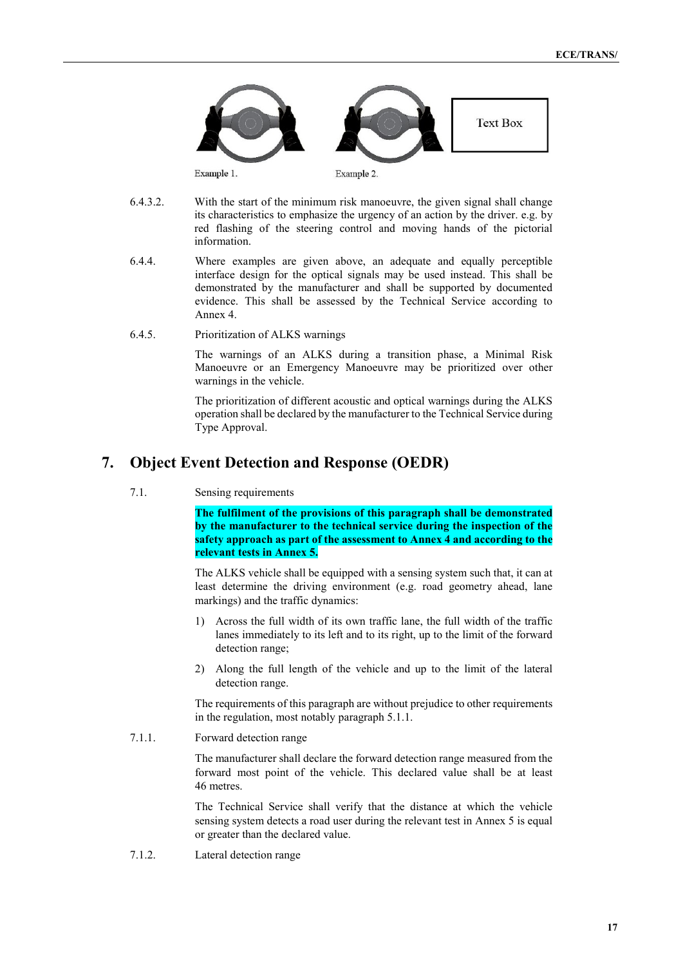

- 6.4.3.2. With the start of the minimum risk manoeuvre, the given signal shall change its characteristics to emphasize the urgency of an action by the driver. e.g. by red flashing of the steering control and moving hands of the pictorial information.
- 6.4.4. Where examples are given above, an adequate and equally perceptible interface design for the optical signals may be used instead. This shall be demonstrated by the manufacturer and shall be supported by documented evidence. This shall be assessed by the Technical Service according to Annex 4.
- 6.4.5. Prioritization of ALKS warnings

The warnings of an ALKS during a transition phase, a Minimal Risk Manoeuvre or an Emergency Manoeuvre may be prioritized over other warnings in the vehicle.

The prioritization of different acoustic and optical warnings during the ALKS operation shall be declared by the manufacturer to the Technical Service during Type Approval.

## **7. Object Event Detection and Response (OEDR)**

7.1. Sensing requirements

**The fulfilment of the provisions of this paragraph shall be demonstrated by the manufacturer to the technical service during the inspection of the safety approach as part of the assessment to Annex 4 and according to the relevant tests in Annex 5.**

The ALKS vehicle shall be equipped with a sensing system such that, it can at least determine the driving environment (e.g. road geometry ahead, lane markings) and the traffic dynamics:

- 1) Across the full width of its own traffic lane, the full width of the traffic lanes immediately to its left and to its right, up to the limit of the forward detection range;
- 2) Along the full length of the vehicle and up to the limit of the lateral detection range.

The requirements of this paragraph are without prejudice to other requirements in the regulation, most notably paragraph 5.1.1.

7.1.1. Forward detection range

The manufacturer shall declare the forward detection range measured from the forward most point of the vehicle. This declared value shall be at least 46 metres.

The Technical Service shall verify that the distance at which the vehicle sensing system detects a road user during the relevant test in Annex 5 is equal or greater than the declared value.

7.1.2. Lateral detection range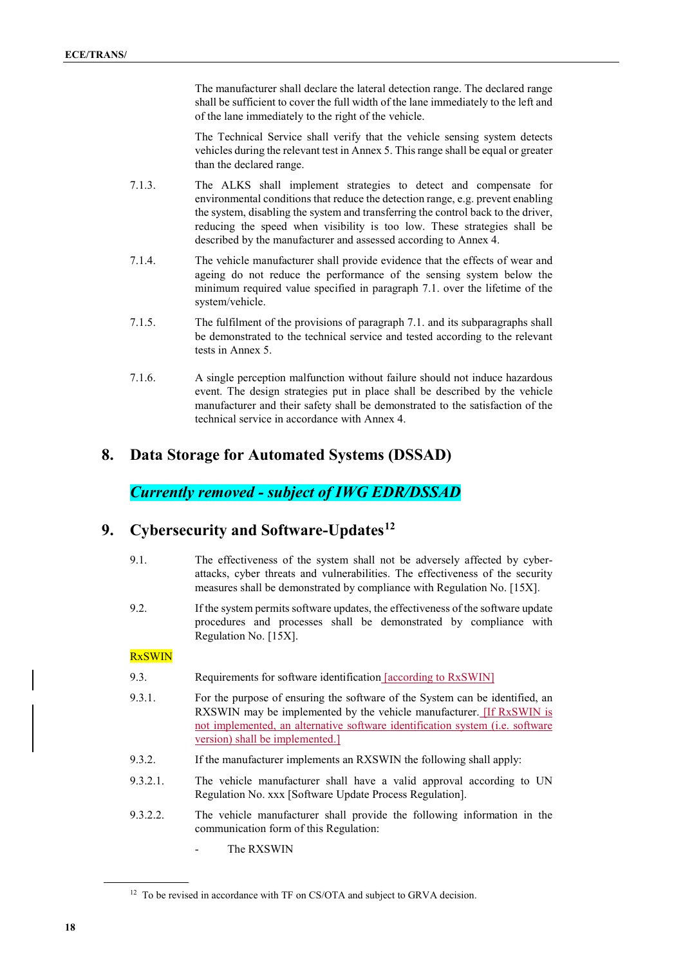The manufacturer shall declare the lateral detection range. The declared range shall be sufficient to cover the full width of the lane immediately to the left and of the lane immediately to the right of the vehicle.

The Technical Service shall verify that the vehicle sensing system detects vehicles during the relevant test in Annex 5. This range shall be equal or greater than the declared range.

- 7.1.3. The ALKS shall implement strategies to detect and compensate for environmental conditions that reduce the detection range, e.g. prevent enabling the system, disabling the system and transferring the control back to the driver, reducing the speed when visibility is too low. These strategies shall be described by the manufacturer and assessed according to Annex 4.
- 7.1.4. The vehicle manufacturer shall provide evidence that the effects of wear and ageing do not reduce the performance of the sensing system below the minimum required value specified in paragraph 7.1. over the lifetime of the system/vehicle.
- 7.1.5. The fulfilment of the provisions of paragraph 7.1. and its subparagraphs shall be demonstrated to the technical service and tested according to the relevant tests in Annex 5.
- 7.1.6. A single perception malfunction without failure should not induce hazardous event. The design strategies put in place shall be described by the vehicle manufacturer and their safety shall be demonstrated to the satisfaction of the technical service in accordance with Annex 4.

## **8. Data Storage for Automated Systems (DSSAD)**

# *Currently removed - subject of IWG EDR/DSSAD*

# **9. Cybersecurity and Software-Updates[12](#page-17-0)**

- 9.1. The effectiveness of the system shall not be adversely affected by cyberattacks, cyber threats and vulnerabilities. The effectiveness of the security measures shall be demonstrated by compliance with Regulation No. [15X].
- 9.2. If the system permits software updates, the effectiveness of the software update procedures and processes shall be demonstrated by compliance with Regulation No. [15X].

### RxSWIN

- 9.3. Requirements for software identification [according to RxSWIN]
- 9.3.1. For the purpose of ensuring the software of the System can be identified, an RXSWIN may be implemented by the vehicle manufacturer. [If RxSWIN is not implemented, an alternative software identification system (i.e. software version) shall be implemented.]
- 9.3.2. If the manufacturer implements an RXSWIN the following shall apply:
- 9.3.2.1. The vehicle manufacturer shall have a valid approval according to UN Regulation No. xxx [Software Update Process Regulation].
- 9.3.2.2. The vehicle manufacturer shall provide the following information in the communication form of this Regulation:
	- The RXSWIN

<span id="page-17-0"></span><sup>&</sup>lt;sup>12</sup> To be revised in accordance with TF on CS/OTA and subject to GRVA decision.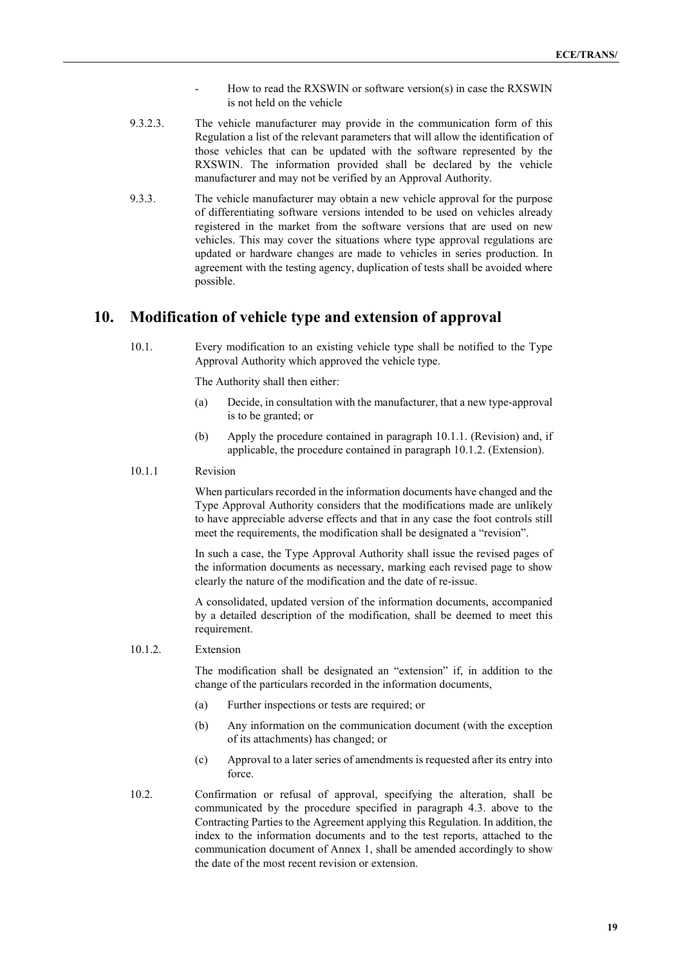- How to read the RXSWIN or software version(s) in case the RXSWIN is not held on the vehicle
- 9.3.2.3. The vehicle manufacturer may provide in the communication form of this Regulation a list of the relevant parameters that will allow the identification of those vehicles that can be updated with the software represented by the RXSWIN. The information provided shall be declared by the vehicle manufacturer and may not be verified by an Approval Authority.
- 9.3.3. The vehicle manufacturer may obtain a new vehicle approval for the purpose of differentiating software versions intended to be used on vehicles already registered in the market from the software versions that are used on new vehicles. This may cover the situations where type approval regulations are updated or hardware changes are made to vehicles in series production. In agreement with the testing agency, duplication of tests shall be avoided where possible.

### **10. Modification of vehicle type and extension of approval**

10.1. Every modification to an existing vehicle type shall be notified to the Type Approval Authority which approved the vehicle type.

The Authority shall then either:

- (a) Decide, in consultation with the manufacturer, that a new type-approval is to be granted; or
- (b) Apply the procedure contained in paragraph 10.1.1. (Revision) and, if applicable, the procedure contained in paragraph 10.1.2. (Extension).

#### 10.1.1 Revision

When particulars recorded in the information documents have changed and the Type Approval Authority considers that the modifications made are unlikely to have appreciable adverse effects and that in any case the foot controls still meet the requirements, the modification shall be designated a "revision".

In such a case, the Type Approval Authority shall issue the revised pages of the information documents as necessary, marking each revised page to show clearly the nature of the modification and the date of re-issue.

A consolidated, updated version of the information documents, accompanied by a detailed description of the modification, shall be deemed to meet this requirement.

#### 10.1.2. Extension

The modification shall be designated an "extension" if, in addition to the change of the particulars recorded in the information documents,

- (a) Further inspections or tests are required; or
- (b) Any information on the communication document (with the exception of its attachments) has changed; or
- (c) Approval to a later series of amendments is requested after its entry into force.
- 10.2. Confirmation or refusal of approval, specifying the alteration, shall be communicated by the procedure specified in paragraph 4.3. above to the Contracting Parties to the Agreement applying this Regulation. In addition, the index to the information documents and to the test reports, attached to the communication document of Annex 1, shall be amended accordingly to show the date of the most recent revision or extension.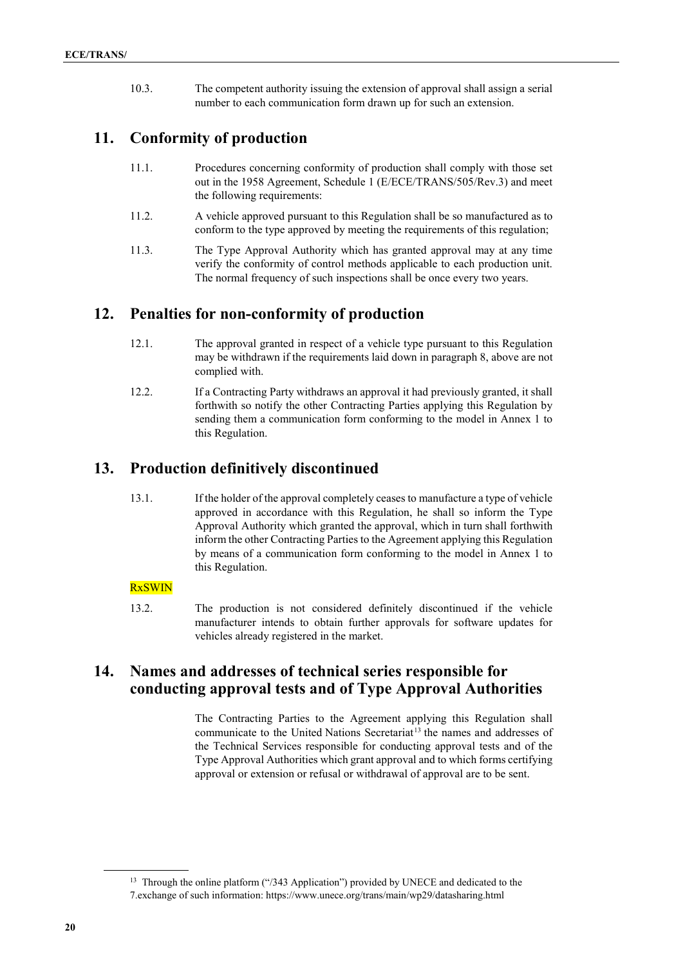10.3. The competent authority issuing the extension of approval shall assign a serial number to each communication form drawn up for such an extension.

## **11. Conformity of production**

- 11.1. Procedures concerning conformity of production shall comply with those set out in the 1958 Agreement, Schedule 1 (E/ECE/TRANS/505/Rev.3) and meet the following requirements:
- 11.2. A vehicle approved pursuant to this Regulation shall be so manufactured as to conform to the type approved by meeting the requirements of this regulation;
- 11.3. The Type Approval Authority which has granted approval may at any time verify the conformity of control methods applicable to each production unit. The normal frequency of such inspections shall be once every two years.

## **12. Penalties for non-conformity of production**

- 12.1. The approval granted in respect of a vehicle type pursuant to this Regulation may be withdrawn if the requirements laid down in paragraph 8, above are not complied with.
- 12.2. If a Contracting Party withdraws an approval it had previously granted, it shall forthwith so notify the other Contracting Parties applying this Regulation by sending them a communication form conforming to the model in Annex 1 to this Regulation.

## **13. Production definitively discontinued**

13.1. If the holder of the approval completely ceases to manufacture a type of vehicle approved in accordance with this Regulation, he shall so inform the Type Approval Authority which granted the approval, which in turn shall forthwith inform the other Contracting Parties to the Agreement applying this Regulation by means of a communication form conforming to the model in Annex 1 to this Regulation.

### **RxSWIN**

13.2. The production is not considered definitely discontinued if the vehicle manufacturer intends to obtain further approvals for software updates for vehicles already registered in the market.

## **14. Names and addresses of technical series responsible for conducting approval tests and of Type Approval Authorities**

The Contracting Parties to the Agreement applying this Regulation shall communicate to the United Nations Secretariat<sup>[13](#page-19-0)</sup> the names and addresses of the Technical Services responsible for conducting approval tests and of the Type Approval Authorities which grant approval and to which forms certifying approval or extension or refusal or withdrawal of approval are to be sent.

<span id="page-19-0"></span><sup>&</sup>lt;sup>13</sup> Through the online platform ("/343 Application") provided by UNECE and dedicated to the 7.exchange of such information: https://www.unece.org/trans/main/wp29/datasharing.html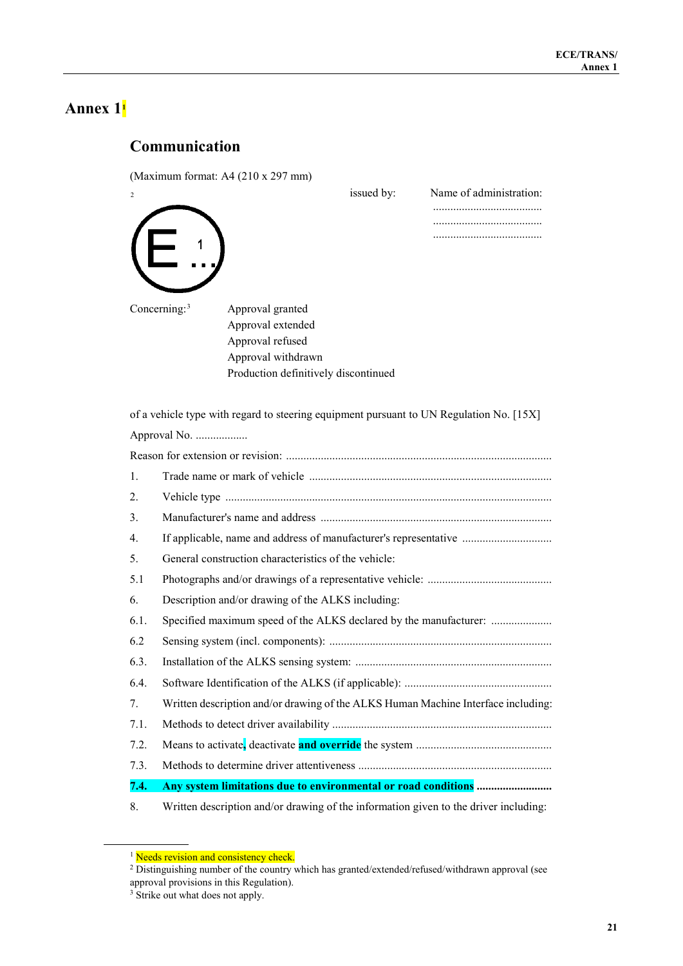# **Communication**

 $(M_{\text{ref}})$  format: A4 (210 x 207 mm)

|      |                 | (Maximum format: A4 (210 x 29/ mm)                                                      | issued by: | Name of administration:                                                           |
|------|-----------------|-----------------------------------------------------------------------------------------|------------|-----------------------------------------------------------------------------------|
|      |                 |                                                                                         |            |                                                                                   |
|      |                 |                                                                                         |            |                                                                                   |
|      |                 |                                                                                         |            |                                                                                   |
|      | Concerning: $3$ | Approval granted                                                                        |            |                                                                                   |
|      |                 | Approval extended                                                                       |            |                                                                                   |
|      |                 | Approval refused                                                                        |            |                                                                                   |
|      |                 | Approval withdrawn                                                                      |            |                                                                                   |
|      |                 | Production definitively discontinued                                                    |            |                                                                                   |
|      |                 | of a vehicle type with regard to steering equipment pursuant to UN Regulation No. [15X] |            |                                                                                   |
|      | Approval No.    |                                                                                         |            |                                                                                   |
|      |                 |                                                                                         |            |                                                                                   |
| 1.   |                 |                                                                                         |            |                                                                                   |
| 2.   |                 |                                                                                         |            |                                                                                   |
| 3.   |                 |                                                                                         |            |                                                                                   |
| 4.   |                 |                                                                                         |            | If applicable, name and address of manufacturer's representative                  |
| 5.   |                 | General construction characteristics of the vehicle:                                    |            |                                                                                   |
| 5.1  |                 |                                                                                         |            |                                                                                   |
| 6.   |                 | Description and/or drawing of the ALKS including:                                       |            |                                                                                   |
| 6.1. |                 |                                                                                         |            | Specified maximum speed of the ALKS declared by the manufacturer:                 |
| 6.2  |                 |                                                                                         |            |                                                                                   |
| 6.3. |                 |                                                                                         |            |                                                                                   |
| 6.4. |                 |                                                                                         |            |                                                                                   |
| 7.   |                 |                                                                                         |            | Written description and/or drawing of the ALKS Human Machine Interface including: |
| 7.1. |                 |                                                                                         |            |                                                                                   |
| 7.2. |                 |                                                                                         |            |                                                                                   |
| 7.3. |                 |                                                                                         |            |                                                                                   |
| 7.4. |                 |                                                                                         |            |                                                                                   |

8. Written description and/or drawing of the information given to the driver including:

<span id="page-20-0"></span> $1$  Needs revision and consistency check.

<span id="page-20-2"></span><span id="page-20-1"></span><sup>&</sup>lt;sup>2</sup> Distinguishing number of the country which has granted/extended/refused/withdrawn approval (see approval provisions in this Regulation).

<sup>&</sup>lt;sup>3</sup> Strike out what does not apply.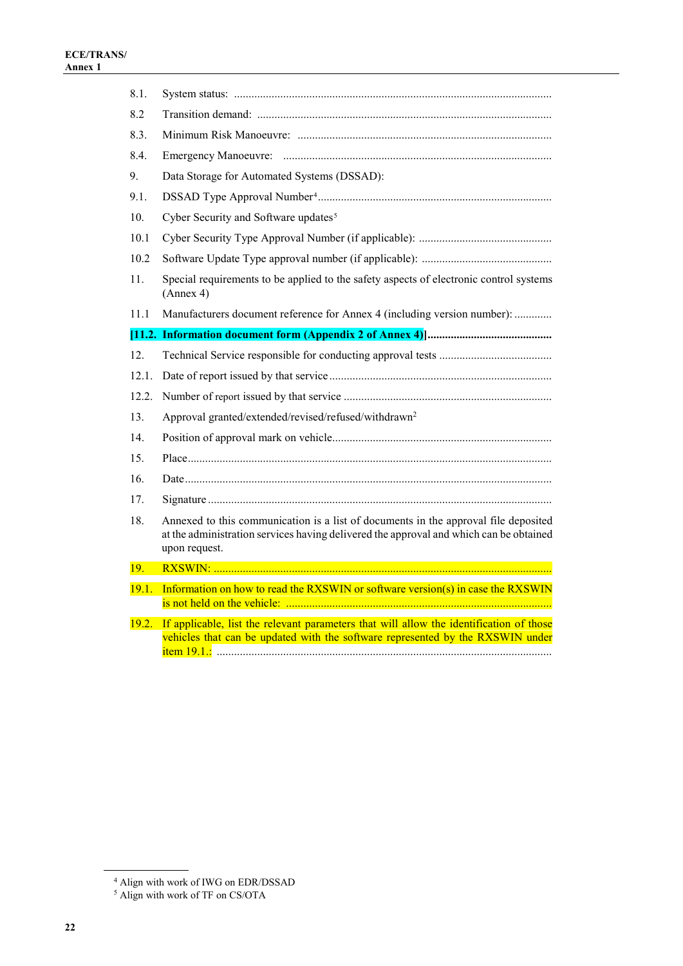| 8.1.  |                                                                                                                                                                                                |
|-------|------------------------------------------------------------------------------------------------------------------------------------------------------------------------------------------------|
| 8.2   |                                                                                                                                                                                                |
| 8.3.  |                                                                                                                                                                                                |
| 8.4.  |                                                                                                                                                                                                |
| 9.    | Data Storage for Automated Systems (DSSAD):                                                                                                                                                    |
| 9.1.  |                                                                                                                                                                                                |
| 10.   | Cyber Security and Software updates <sup>5</sup>                                                                                                                                               |
| 10.1  |                                                                                                                                                                                                |
| 10.2  |                                                                                                                                                                                                |
| 11.   | Special requirements to be applied to the safety aspects of electronic control systems<br>(Annex 4)                                                                                            |
| 11.1  | Manufacturers document reference for Annex 4 (including version number):                                                                                                                       |
|       |                                                                                                                                                                                                |
| 12.   |                                                                                                                                                                                                |
| 12.1. |                                                                                                                                                                                                |
| 12.2. |                                                                                                                                                                                                |
| 13.   | Approval granted/extended/revised/refused/withdrawn <sup>2</sup>                                                                                                                               |
| 14.   |                                                                                                                                                                                                |
| 15.   |                                                                                                                                                                                                |
| 16.   |                                                                                                                                                                                                |
| 17.   |                                                                                                                                                                                                |
| 18.   | Annexed to this communication is a list of documents in the approval file deposited<br>at the administration services having delivered the approval and which can be obtained<br>upon request. |
| 19.   |                                                                                                                                                                                                |
| 19.1. | Information on how to read the RXSWIN or software version(s) in case the RXSWIN                                                                                                                |
| 19.2. | If applicable, list the relevant parameters that will allow the identification of those<br>vehicles that can be updated with the software represented by the RXSWIN under                      |

<sup>4</sup> Align with work of IWG on EDR/DSSAD

<span id="page-21-1"></span><span id="page-21-0"></span><sup>5</sup> Align with work of TF on CS/OTA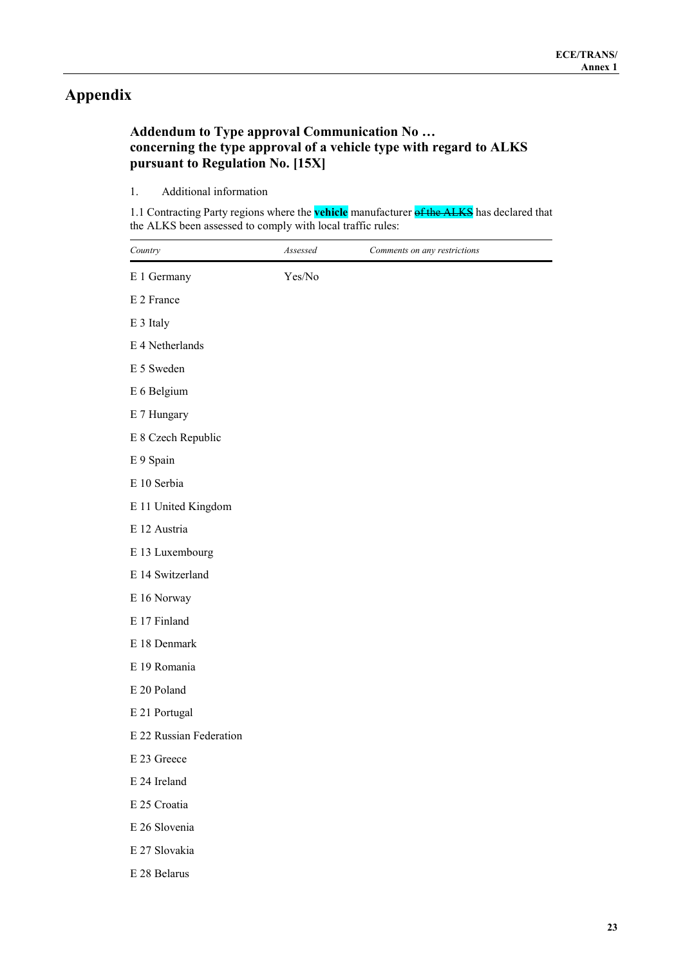# **Appendix**

### **Addendum to Type approval Communication No … concerning the type approval of a vehicle type with regard to ALKS pursuant to Regulation No. [15X]**

#### 1. Additional information

1.1 Contracting Party regions where the **vehicle** manufacturer of the ALKS has declared that the ALKS been assessed to comply with local traffic rules:

| Country                 | Assessed | Comments on any restrictions |
|-------------------------|----------|------------------------------|
| E 1 Germany             | Yes/No   |                              |
| E 2 France              |          |                              |
| E 3 Italy               |          |                              |
| E 4 Netherlands         |          |                              |
| E 5 Sweden              |          |                              |
| E 6 Belgium             |          |                              |
| E 7 Hungary             |          |                              |
| E 8 Czech Republic      |          |                              |
| E 9 Spain               |          |                              |
| E 10 Serbia             |          |                              |
| E 11 United Kingdom     |          |                              |
| E 12 Austria            |          |                              |
| E 13 Luxembourg         |          |                              |
| E 14 Switzerland        |          |                              |
| E 16 Norway             |          |                              |
| E 17 Finland            |          |                              |
| E 18 Denmark            |          |                              |
| E 19 Romania            |          |                              |
| E 20 Poland             |          |                              |
| E 21 Portugal           |          |                              |
| E 22 Russian Federation |          |                              |
| E 23 Greece             |          |                              |
| E 24 Ireland            |          |                              |
| E 25 Croatia            |          |                              |
| E 26 Slovenia           |          |                              |
| E 27 Slovakia           |          |                              |
| E 28 Belarus            |          |                              |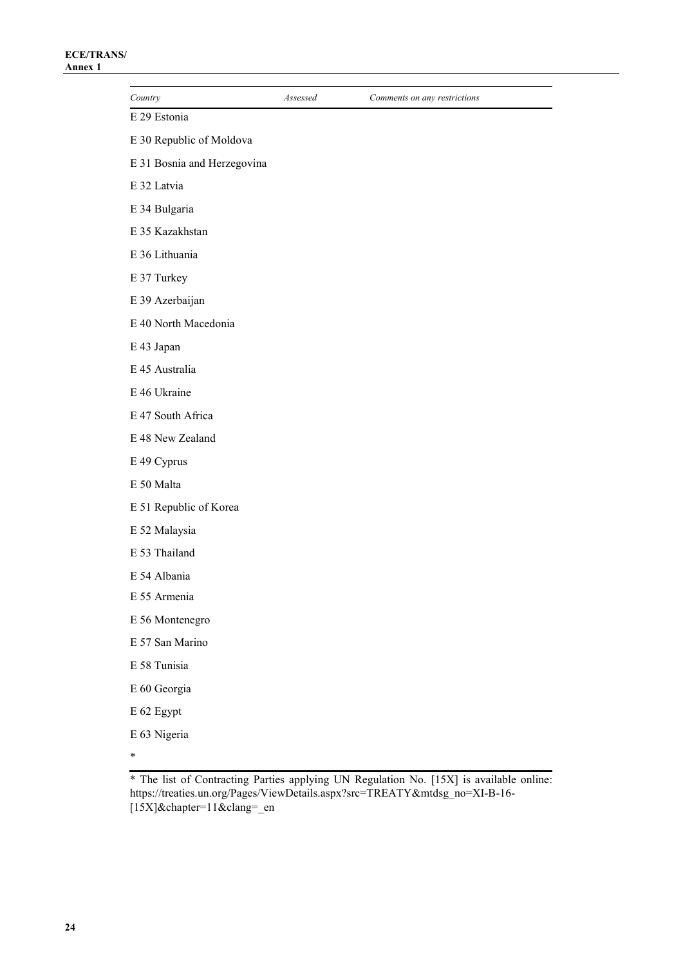| Country                     | Assessed | Comments on any restrictions |
|-----------------------------|----------|------------------------------|
| E 29 Estonia                |          |                              |
| E 30 Republic of Moldova    |          |                              |
| E 31 Bosnia and Herzegovina |          |                              |
| E 32 Latvia                 |          |                              |
| E 34 Bulgaria               |          |                              |
| E 35 Kazakhstan             |          |                              |
| E 36 Lithuania              |          |                              |
| E 37 Turkey                 |          |                              |
| E 39 Azerbaijan             |          |                              |
| E 40 North Macedonia        |          |                              |
| E 43 Japan                  |          |                              |
| E 45 Australia              |          |                              |
| E 46 Ukraine                |          |                              |
| E 47 South Africa           |          |                              |
| E 48 New Zealand            |          |                              |
| E 49 Cyprus                 |          |                              |
| E 50 Malta                  |          |                              |
| E 51 Republic of Korea      |          |                              |
| E 52 Malaysia               |          |                              |
| E 53 Thailand               |          |                              |
| E 54 Albania                |          |                              |
| E 55 Armenia                |          |                              |
| E 56 Montenegro             |          |                              |
| E 57 San Marino             |          |                              |
| E 58 Tunisia                |          |                              |
| E 60 Georgia                |          |                              |
| E 62 Egypt                  |          |                              |
| E 63 Nigeria                |          |                              |
| $\ast$                      |          |                              |

<sup>\*</sup> The list of Contracting Parties applying UN Regulation No. [15X] is available online: [https://treaties.un.org/Pages/ViewDetails.aspx?src=TREATY&mtdsg\\_no=XI-B-16-](https://treaties.un.org/Pages/ViewDetails.aspx?src=TREATY&mtdsg_no=XI-B-16-%5b15X%5d&chapter=11&clang=_en) [\[15X\]&chapter=11&clang=\\_en](https://treaties.un.org/Pages/ViewDetails.aspx?src=TREATY&mtdsg_no=XI-B-16-%5b15X%5d&chapter=11&clang=_en)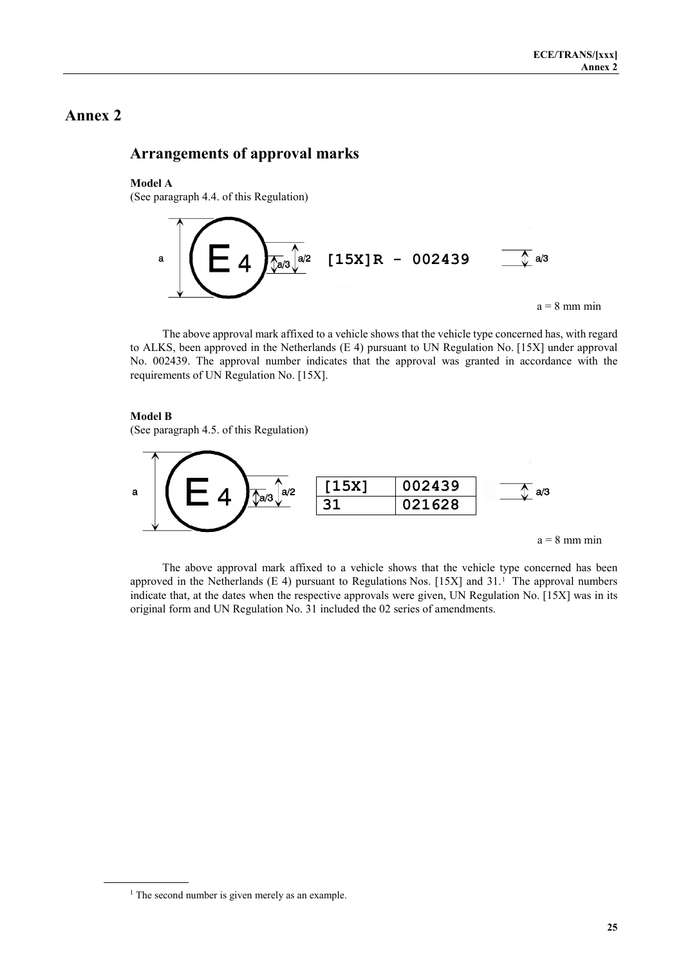### **Arrangements of approval marks**

#### **Model A**

(See paragraph 4.4. of this Regulation)



The above approval mark affixed to a vehicle shows that the vehicle type concerned has, with regard to ALKS, been approved in the Netherlands (E 4) pursuant to UN Regulation No. [15X] under approval No. 002439. The approval number indicates that the approval was granted in accordance with the requirements of UN Regulation No. [15X].

#### **Model B**

(See paragraph 4.5. of this Regulation)



The above approval mark affixed to a vehicle shows that the vehicle type concerned has been approved in the Netherlands (E 4) pursuant to Regulations Nos. [15X] and 31. [1](#page-24-0) The approval numbers indicate that, at the dates when the respective approvals were given, UN Regulation No. [15X] was in its original form and UN Regulation No. 31 included the 02 series of amendments.

<span id="page-24-0"></span> $<sup>1</sup>$  The second number is given merely as an example.</sup>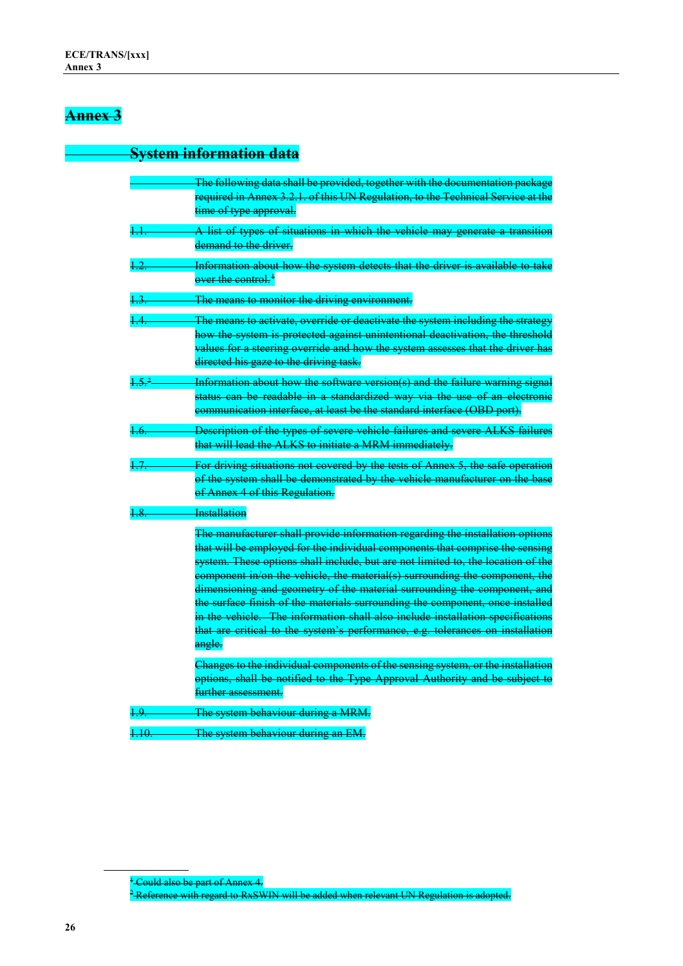# **System information data**

|                     | The following data shall be provided, together with the documentation package    |
|---------------------|----------------------------------------------------------------------------------|
|                     | required in Annex 3.2.1. of this UN Regulation, to the Technical Service at the  |
|                     | time of type approval.                                                           |
| $\ddagger \ddagger$ | A list of types of situations in which the vehicle may generate a transition     |
|                     | demand to the driver.                                                            |
| 1.2.                | Information about how the system detects that the driver is available to take    |
|                     | over the control. <sup>1</sup>                                                   |
| 1.3.                | The means to monitor the driving environment.                                    |
| 1.4.                | The means to activate, override or deactivate the system including the strategy  |
|                     | how the system is protected against unintentional deactivation, the threshold    |
|                     | values for a steering override and how the system assesses that the driver has   |
|                     | directed his gaze to the driving task.                                           |
| 1.5 <sup>2</sup>    | Information about how the software version(s) and the failure warning signal     |
|                     | status can be readable in a standardized way via the use of an electronic        |
|                     | communication interface, at least be the standard interface (OBD port).          |
| $\overline{1.6}$ .  | Description of the types of severe vehicle failures and severe ALKS failures     |
|                     | that will lead the ALKS to initiate a MRM immediately.                           |
| 1.7.                | For driving situations not covered by the tests of Annex 5, the safe operation   |
|                     | of the system shall be demonstrated by the vehicle manufacturer on the base      |
|                     | of Annex 4 of this Regulation.                                                   |
| 4.8.                | <b>Installation</b>                                                              |
|                     | The manufacturer shall provide information regarding the installation options    |
|                     | that will be employed for the individual components that comprise the sensing    |
|                     | system. These options shall include, but are not limited to, the location of the |
|                     | component in/on the vehicle, the material(s) surrounding the component, the      |
|                     | dimensioning and geometry of the material surrounding the component, and         |
|                     | the surface finish of the materials surrounding the component, once installed    |
|                     | in the vehicle. The information shall also include installation specifications   |
|                     | that are critical to the system's performance, e.g. tolerances on installation   |
|                     | angle.                                                                           |
|                     | Changes to the individual components of the sensing system, or the installation  |
|                     | options, shall be notified to the Type Approval Authority and be subject to      |
|                     | further assessment.                                                              |
| 1.9.                | The system behaviour during a MRM.                                               |
| 1.10                | The system behaviour during an EM.                                               |

<span id="page-25-1"></span><span id="page-25-0"></span><sup>&</sup>lt;sup>1</sup> Could also be part of Annex 4.  $^2$ Reference with regard to RxSWIN will be added when relevant UN Regulation is adopted.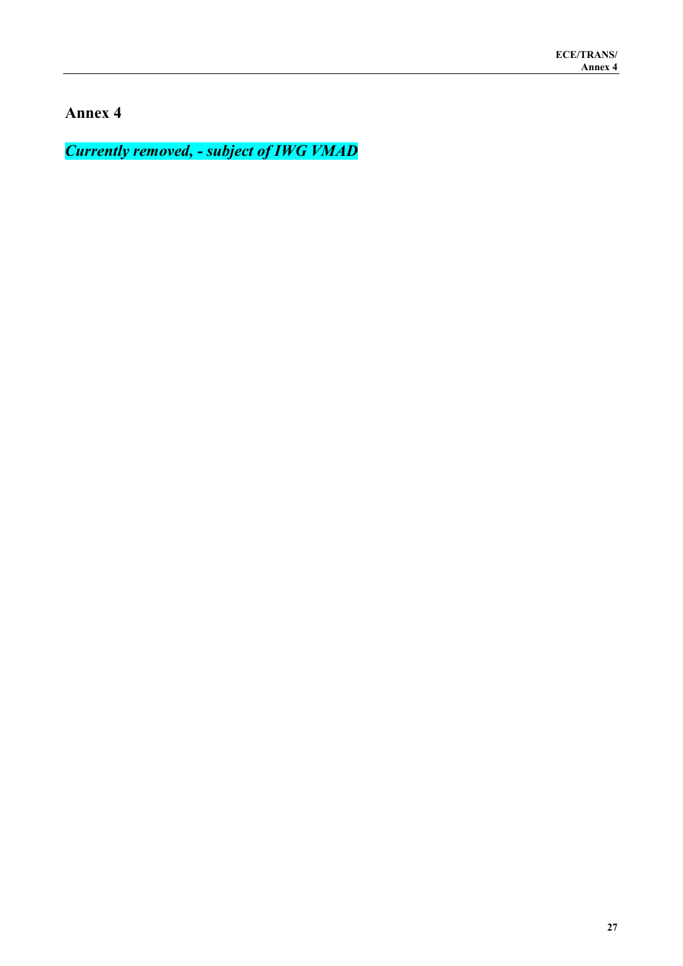*Currently removed, - subject of IWG VMAD*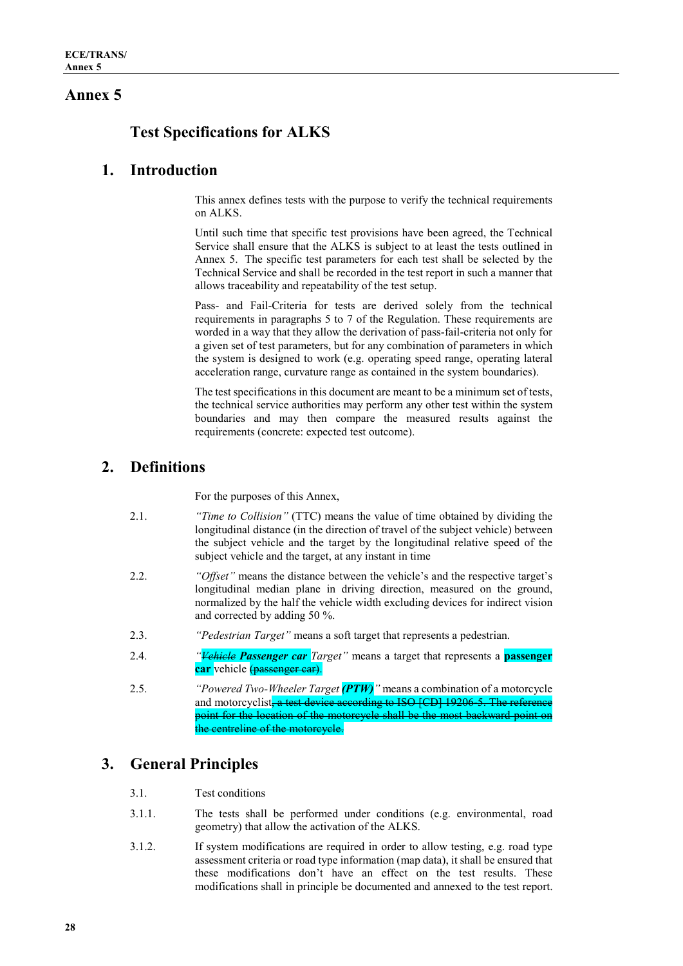# **Test Specifications for ALKS**

### **1. Introduction**

This annex defines tests with the purpose to verify the technical requirements on ALKS.

Until such time that specific test provisions have been agreed, the Technical Service shall ensure that the ALKS is subject to at least the tests outlined in Annex 5. The specific test parameters for each test shall be selected by the Technical Service and shall be recorded in the test report in such a manner that allows traceability and repeatability of the test setup.

Pass- and Fail-Criteria for tests are derived solely from the technical requirements in paragraphs 5 to 7 of the Regulation. These requirements are worded in a way that they allow the derivation of pass-fail-criteria not only for a given set of test parameters, but for any combination of parameters in which the system is designed to work (e.g. operating speed range, operating lateral acceleration range, curvature range as contained in the system boundaries).

The test specifications in this document are meant to be a minimum set of tests, the technical service authorities may perform any other test within the system boundaries and may then compare the measured results against the requirements (concrete: expected test outcome).

### **2. Definitions**

For the purposes of this Annex,

- 2.1. *"Time to Collision"* (TTC) means the value of time obtained by dividing the longitudinal distance (in the direction of travel of the subject vehicle) between the subject vehicle and the target by the longitudinal relative speed of the subject vehicle and the target, at any instant in time
- 2.2. *"Offset"* means the distance between the vehicle's and the respective target's longitudinal median plane in driving direction, measured on the ground, normalized by the half the vehicle width excluding devices for indirect vision and corrected by adding 50 %.
- 2.3. *"Pedestrian Target"* means a soft target that represents a pedestrian.
- 2.4. *"Vehicle Passenger car Target"* means a target that represents a **passenger car** vehicle (passenger car).
- 2.5. *"Powered Two-Wheeler Target (PTW)"* means a combination of a motorcycle and motorcyclist, a test device according to ISO [CD] 19206-5. The reference point for the location of the motorcycle shall be the most backward point on the centreline of the motorcycle.

# **3. General Principles**

- 3.1. Test conditions
- 3.1.1. The tests shall be performed under conditions (e.g. environmental, road geometry) that allow the activation of the ALKS.
- 3.1.2. If system modifications are required in order to allow testing, e.g. road type assessment criteria or road type information (map data), it shall be ensured that these modifications don't have an effect on the test results. These modifications shall in principle be documented and annexed to the test report.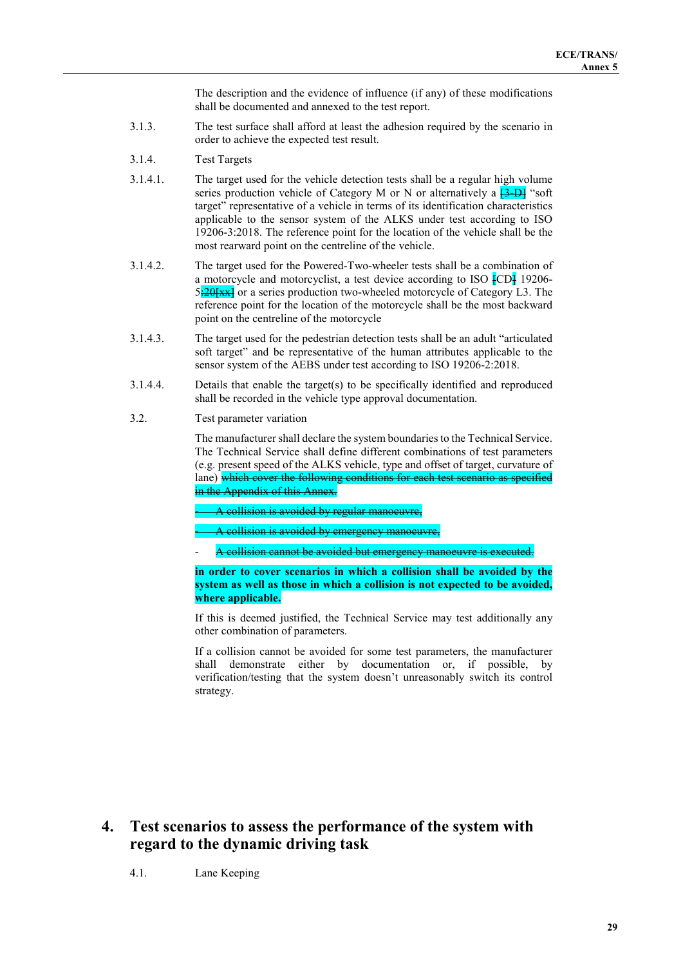The description and the evidence of influence (if any) of these modifications shall be documented and annexed to the test report.

- 3.1.3. The test surface shall afford at least the adhesion required by the scenario in order to achieve the expected test result.
- 3.1.4. Test Targets
- 3.1.4.1. The target used for the vehicle detection tests shall be a regular high volume series production vehicle of Category M or N or alternatively a  $\frac{3-D}{5}$  "soft" target" representative of a vehicle in terms of its identification characteristics applicable to the sensor system of the ALKS under test according to ISO 19206-3:2018. The reference point for the location of the vehicle shall be the most rearward point on the centreline of the vehicle.
- 3.1.4.2. The target used for the Powered-Two-wheeler tests shall be a combination of a motorcycle and motorcyclist, a test device according to ISO [CD] 19206-  $5:20$ [xx] or a series production two-wheeled motorcycle of Category L3. The reference point for the location of the motorcycle shall be the most backward point on the centreline of the motorcycle
- 3.1.4.3. The target used for the pedestrian detection tests shall be an adult "articulated soft target" and be representative of the human attributes applicable to the sensor system of the AEBS under test according to ISO 19206-2:2018.
- 3.1.4.4. Details that enable the target(s) to be specifically identified and reproduced shall be recorded in the vehicle type approval documentation.
- 3.2. Test parameter variation

The manufacturer shall declare the system boundaries to the Technical Service. The Technical Service shall define different combinations of test parameters (e.g. present speed of the ALKS vehicle, type and offset of target, curvature of lane) which cover the following conditions for each test scenario as specified in the Appendix of this Annex.

A collision is avoided by regular manoeuvre,

A collision is avoided by emergency manoeuvre.

- A collision cannot be avoided but emergency manoeuvre is executed.

**in order to cover scenarios in which a collision shall be avoided by the system as well as those in which a collision is not expected to be avoided, where applicable.**

If this is deemed justified, the Technical Service may test additionally any other combination of parameters.

If a collision cannot be avoided for some test parameters, the manufacturer shall demonstrate either by documentation or, if possible, by verification/testing that the system doesn't unreasonably switch its control strategy.

**4. Test scenarios to assess the performance of the system with regard to the dynamic driving task**

4.1. Lane Keeping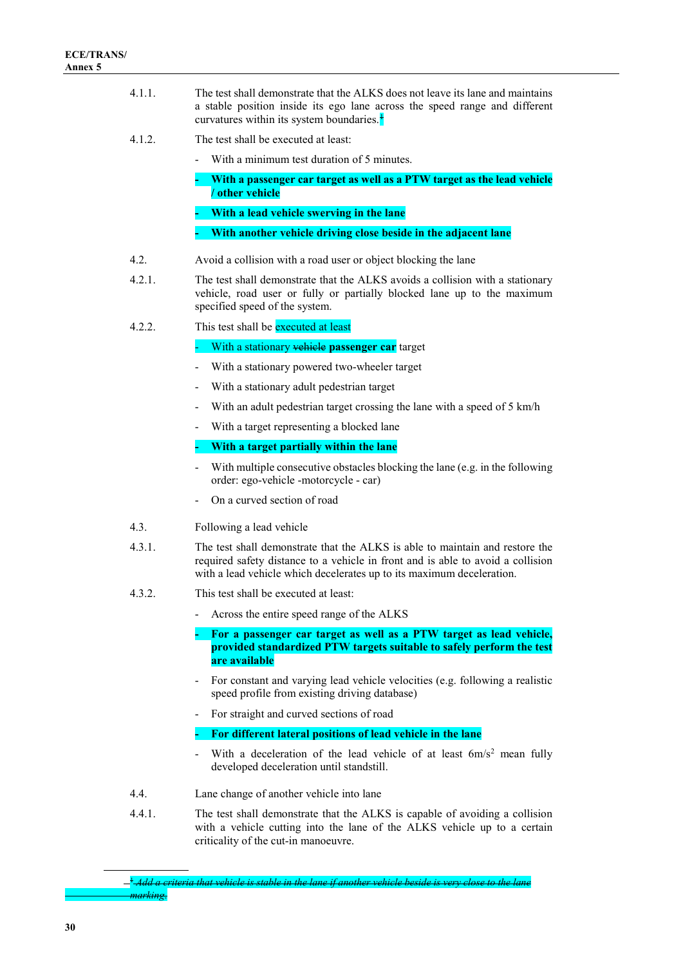- 4.1.1. The test shall demonstrate that the ALKS does not leave its lane and maintains a stable position inside its ego lane across the speed range and different curvatures within its system boundaries. $\frac{1}{2}$  $\frac{1}{2}$  $\frac{1}{2}$
- 4.1.2. The test shall be executed at least:
	- With a minimum test duration of 5 minutes.
	- **- With a passenger car target as well as a PTW target as the lead vehicle / other vehicle - With a lead vehicle swerving in the lane**
	- **- With another vehicle driving close beside in the adjacent lane**
- 4.2. Avoid a collision with a road user or object blocking the lane
- 4.2.1. The test shall demonstrate that the ALKS avoids a collision with a stationary vehicle, road user or fully or partially blocked lane up to the maximum specified speed of the system.
- 4.2.2. This test shall be executed at least

- With a stationary vehicle **passenger car** target

- With a stationary powered two-wheeler target
- With a stationary adult pedestrian target
- With an adult pedestrian target crossing the lane with a speed of 5 km/h
- With a target representing a blocked lane

#### **- With a target partially within the lane**

- With multiple consecutive obstacles blocking the lane (e.g. in the following order: ego-vehicle -motorcycle - car)
- On a curved section of road
- 4.3. Following a lead vehicle
- 4.3.1. The test shall demonstrate that the ALKS is able to maintain and restore the required safety distance to a vehicle in front and is able to avoid a collision with a lead vehicle which decelerates up to its maximum deceleration.
- 4.3.2. This test shall be executed at least:
	- Across the entire speed range of the ALKS

**- For a passenger car target as well as a PTW target as lead vehicle, provided standardized PTW targets suitable to safely perform the test are available**

- For constant and varying lead vehicle velocities (e.g. following a realistic speed profile from existing driving database)
- For straight and curved sections of road

### **- For different lateral positions of lead vehicle in the lane**

- With a deceleration of the lead vehicle of at least  $6m/s^2$  mean fully developed deceleration until standstill.
- 4.4. Lane change of another vehicle into lane
- 4.4.1. The test shall demonstrate that the ALKS is capable of avoiding a collision with a vehicle cutting into the lane of the ALKS vehicle up to a certain criticality of the cut-in manoeuvre.

<span id="page-29-0"></span><sup>1</sup> *Add a criteria that vehicle is stable in the lane if another vehicle beside is very close to the lane marking*.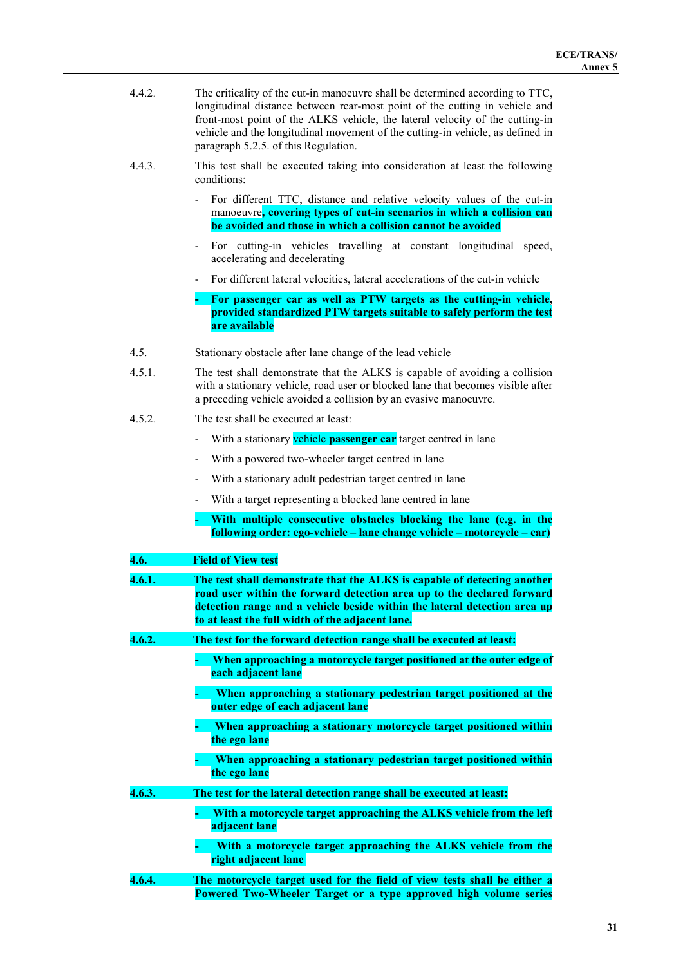| 4.4.2. | The criticality of the cut-in manoeuvre shall be determined according to TTC,  |
|--------|--------------------------------------------------------------------------------|
|        | longitudinal distance between rear-most point of the cutting in vehicle and    |
|        | front-most point of the ALKS vehicle, the lateral velocity of the cutting-in   |
|        | vehicle and the longitudinal movement of the cutting-in vehicle, as defined in |
|        | paragraph 5.2.5. of this Regulation.                                           |

- 4.4.3. This test shall be executed taking into consideration at least the following conditions:
	- For different TTC, distance and relative velocity values of the cut-in manoeuvre**, covering types of cut-in scenarios in which a collision can be avoided and those in which a collision cannot be avoided**
	- For cutting-in vehicles travelling at constant longitudinal speed, accelerating and decelerating
	- For different lateral velocities, lateral accelerations of the cut-in vehicle
	- **- For passenger car as well as PTW targets as the cutting-in vehicle, provided standardized PTW targets suitable to safely perform the test are available**
- 4.5. Stationary obstacle after lane change of the lead vehicle
- 4.5.1. The test shall demonstrate that the ALKS is capable of avoiding a collision with a stationary vehicle, road user or blocked lane that becomes visible after a preceding vehicle avoided a collision by an evasive manoeuvre.
- 4.5.2. The test shall be executed at least:
	- With a stationary **vehicle passenger car** target centred in lane
	- With a powered two-wheeler target centred in lane
	- With a stationary adult pedestrian target centred in lane
	- With a target representing a blocked lane centred in lane
	- **- With multiple consecutive obstacles blocking the lane (e.g. in the following order: ego-vehicle – lane change vehicle – motorcycle – car)**

| 4.6.   | <b>Field of View test</b>                                                                                                                                                                                                                                                           |
|--------|-------------------------------------------------------------------------------------------------------------------------------------------------------------------------------------------------------------------------------------------------------------------------------------|
| 4.6.1. | The test shall demonstrate that the ALKS is capable of detecting another<br>road user within the forward detection area up to the declared forward<br>detection range and a vehicle beside within the lateral detection area up<br>to at least the full width of the adjacent lane. |
| 4.6.2. | The test for the forward detection range shall be executed at least:                                                                                                                                                                                                                |
|        | When approaching a motorcycle target positioned at the outer edge of<br>each adjacent lane                                                                                                                                                                                          |
|        | When approaching a stationary pedestrian target positioned at the<br>outer edge of each adjacent lane                                                                                                                                                                               |
|        | When approaching a stationary motorcycle target positioned within<br>the ego lane                                                                                                                                                                                                   |
|        | When approaching a stationary pedestrian target positioned within<br>the ego lane                                                                                                                                                                                                   |
| 4.6.3. | The test for the lateral detection range shall be executed at least:                                                                                                                                                                                                                |
|        | With a motorcycle target approaching the ALKS vehicle from the left<br>adjacent lane                                                                                                                                                                                                |
|        | With a motorcycle target approaching the ALKS vehicle from the<br>right adjacent lane                                                                                                                                                                                               |
| 4.6.4. | The motorcycle target used for the field of view tests shall be either a<br>Powered Two-Wheeler Target or a type approved high volume series                                                                                                                                        |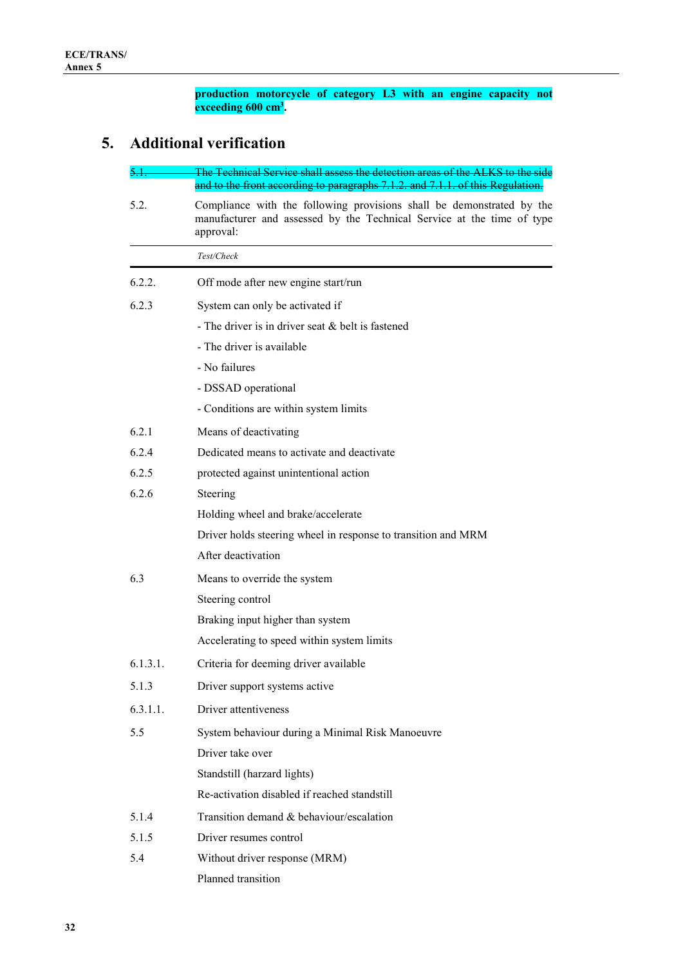**production motorcycle of category L3 with an engine capacity not exceeding 600 cm3 .**

# **5. Additional verification**

| 5.I.     | The Technical Service shall assess the detection areas of the ALKS to the side<br>and to the front according to paragraphs 7.1.2. and 7.1.1. of this Regulation. |
|----------|------------------------------------------------------------------------------------------------------------------------------------------------------------------|
| 5.2.     | Compliance with the following provisions shall be demonstrated by the<br>manufacturer and assessed by the Technical Service at the time of type<br>approval:     |
|          | Test/Check                                                                                                                                                       |
| 6.2.2.   | Off mode after new engine start/run                                                                                                                              |
| 6.2.3    | System can only be activated if                                                                                                                                  |
|          | - The driver is in driver seat & belt is fastened                                                                                                                |
|          | - The driver is available                                                                                                                                        |
|          | - No failures                                                                                                                                                    |
|          | - DSSAD operational                                                                                                                                              |
|          | - Conditions are within system limits                                                                                                                            |
| 6.2.1    | Means of deactivating                                                                                                                                            |
| 6.2.4    | Dedicated means to activate and deactivate                                                                                                                       |
| 6.2.5    | protected against unintentional action                                                                                                                           |
| 6.2.6    | Steering                                                                                                                                                         |
|          | Holding wheel and brake/accelerate                                                                                                                               |
|          | Driver holds steering wheel in response to transition and MRM                                                                                                    |
|          | After deactivation                                                                                                                                               |
| 6.3      | Means to override the system                                                                                                                                     |
|          | Steering control                                                                                                                                                 |
|          | Braking input higher than system                                                                                                                                 |
|          | Accelerating to speed within system limits                                                                                                                       |
| 6.1.3.1. | Criteria for deeming driver available                                                                                                                            |
| 5.1.3    | Driver support systems active                                                                                                                                    |
| 6.3.1.1. | Driver attentiveness                                                                                                                                             |
| 5.5      | System behaviour during a Minimal Risk Manoeuvre                                                                                                                 |
|          | Driver take over                                                                                                                                                 |
|          | Standstill (harzard lights)                                                                                                                                      |
|          | Re-activation disabled if reached standstill                                                                                                                     |
| 5.1.4    | Transition demand & behaviour/escalation                                                                                                                         |
| 5.1.5    | Driver resumes control                                                                                                                                           |
| 5.4      | Without driver response (MRM)                                                                                                                                    |
|          | Planned transition                                                                                                                                               |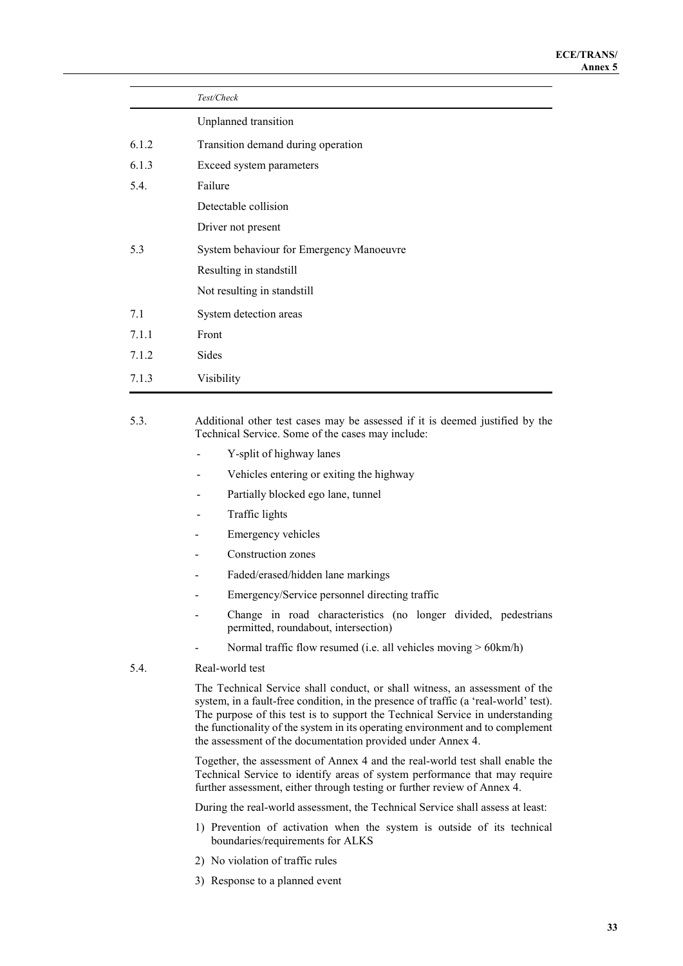|       | Test/Check                               |
|-------|------------------------------------------|
|       | Unplanned transition                     |
| 6.1.2 | Transition demand during operation       |
| 6.1.3 | Exceed system parameters                 |
| 5.4.  | Failure                                  |
|       | Detectable collision                     |
|       | Driver not present                       |
| 5.3   | System behaviour for Emergency Manoeuvre |
|       | Resulting in standstill                  |
|       | Not resulting in standstill              |
| 7.1   | System detection areas                   |
| 7.1.1 | Front                                    |
| 7.1.2 | Sides                                    |
| 7.1.3 | Visibility                               |

5.3. Additional other test cases may be assessed if it is deemed justified by the Technical Service. Some of the cases may include:

- Y-split of highway lanes
- Vehicles entering or exiting the highway
- Partially blocked ego lane, tunnel
- Traffic lights
- Emergency vehicles
- Construction zones
- Faded/erased/hidden lane markings
- Emergency/Service personnel directing traffic
- Change in road characteristics (no longer divided, pedestrians permitted, roundabout, intersection)
- Normal traffic flow resumed (i.e. all vehicles moving > 60km/h)
- 5.4. Real-world test

The Technical Service shall conduct, or shall witness, an assessment of the system, in a fault-free condition, in the presence of traffic (a 'real-world' test). The purpose of this test is to support the Technical Service in understanding the functionality of the system in its operating environment and to complement the assessment of the documentation provided under Annex 4.

Together, the assessment of Annex 4 and the real-world test shall enable the Technical Service to identify areas of system performance that may require further assessment, either through testing or further review of Annex 4.

During the real-world assessment, the Technical Service shall assess at least:

- 1) Prevention of activation when the system is outside of its technical boundaries/requirements for ALKS
- 2) No violation of traffic rules
- 3) Response to a planned event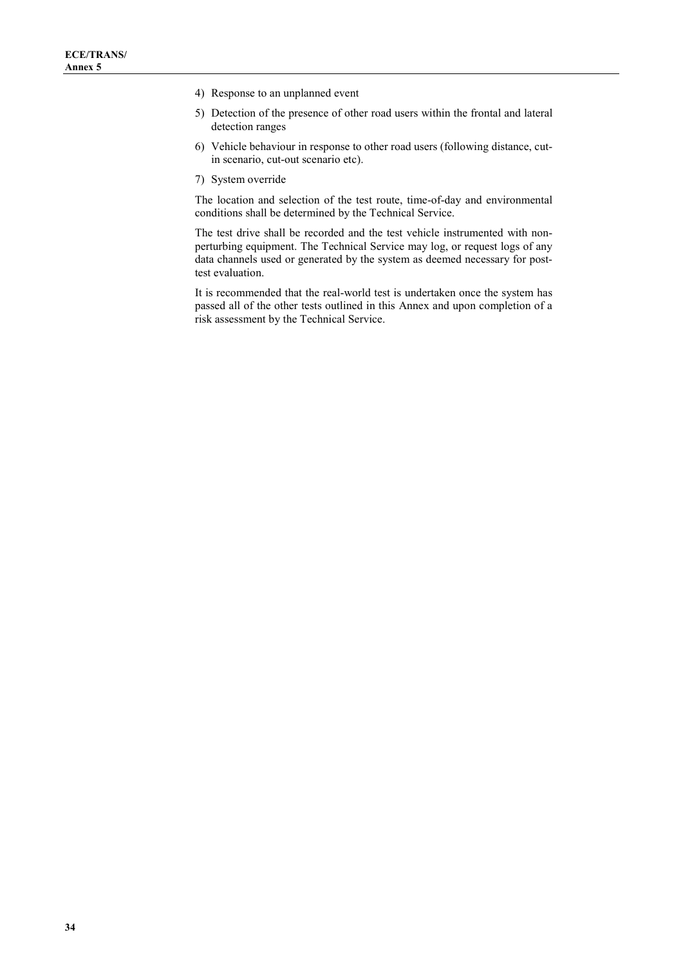- 4) Response to an unplanned event
- 5) Detection of the presence of other road users within the frontal and lateral detection ranges
- 6) Vehicle behaviour in response to other road users (following distance, cutin scenario, cut-out scenario etc).
- 7) System override

The location and selection of the test route, time-of-day and environmental conditions shall be determined by the Technical Service.

The test drive shall be recorded and the test vehicle instrumented with nonperturbing equipment. The Technical Service may log, or request logs of any data channels used or generated by the system as deemed necessary for posttest evaluation.

It is recommended that the real-world test is undertaken once the system has passed all of the other tests outlined in this Annex and upon completion of a risk assessment by the Technical Service.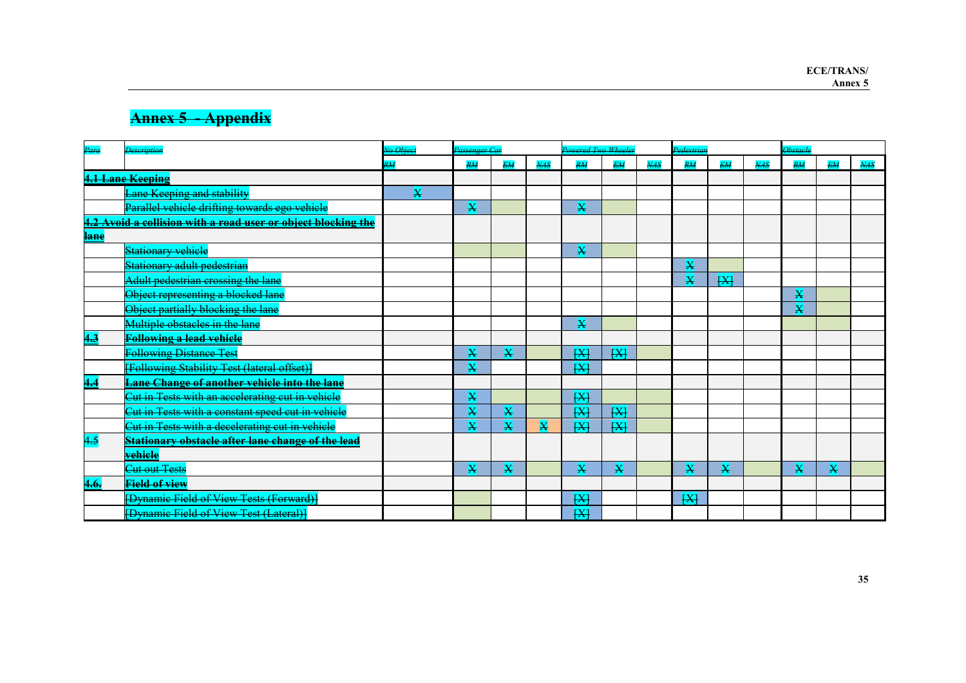# **Annex 5 - Appendix**

| Para                                                          | <b>Description</b>                                        | No Object       | Passenger Car           |                         | Powered Two Wheeler |                |                | Pedestrian       |                |                | <b>Obstacle</b> |                         |                |            |
|---------------------------------------------------------------|-----------------------------------------------------------|-----------------|-------------------------|-------------------------|---------------------|----------------|----------------|------------------|----------------|----------------|-----------------|-------------------------|----------------|------------|
|                                                               |                                                           | $\overline{RM}$ | $R\overline{M}$         | <b>EM</b>               | $\overline{MAS}$    | RM             | EM <sub></sub> | $\overline{MAS}$ | RM             | EM <sub></sub> | NAS             | $R_{\rm{H}}$            | EM <sub></sub> | <b>NAS</b> |
| <b>4.1 Lane Keeping</b>                                       |                                                           |                 |                         |                         |                     |                |                |                  |                |                |                 |                         |                |            |
|                                                               | Lane Keeping and stability                                | X               |                         |                         |                     |                |                |                  |                |                |                 |                         |                |            |
|                                                               | Parallel vehicle drifting towards ego vehicle             |                 | X                       |                         |                     | X              |                |                  |                |                |                 |                         |                |            |
| 4.2 Avoid a collision with a road user or object blocking the |                                                           |                 |                         |                         |                     |                |                |                  |                |                |                 |                         |                |            |
| lane                                                          |                                                           |                 |                         |                         |                     |                |                |                  |                |                |                 |                         |                |            |
|                                                               | <b>Stationary vehicle</b>                                 |                 |                         |                         |                     | X              |                |                  |                |                |                 |                         |                |            |
|                                                               | <mark>Stationary adult pedestrian</mark>                  |                 |                         |                         |                     |                |                |                  | X              |                |                 |                         |                |            |
|                                                               | Adult pedestrian crossing the lane                        |                 |                         |                         |                     |                |                |                  | X              | $\overline{H}$ |                 |                         |                |            |
|                                                               | Object representing a blocked lane                        |                 |                         |                         |                     |                |                |                  |                |                |                 | X                       |                |            |
|                                                               | Object partially blocking the lane                        |                 |                         |                         |                     |                |                |                  |                |                |                 | $\overline{\mathbf{X}}$ |                |            |
|                                                               | Multiple obstacles in the lane                            |                 |                         |                         |                     | X              |                |                  |                |                |                 |                         |                |            |
| 4.3                                                           | <b>Following a lead vehicle</b>                           |                 |                         |                         |                     |                |                |                  |                |                |                 |                         |                |            |
|                                                               | <b>Following Distance Test</b>                            |                 | X                       | X                       |                     | X              | H              |                  |                |                |                 |                         |                |            |
|                                                               | [Following Stability Test (lateral offset)]               |                 | $\overline{\mathbf{x}}$ |                         |                     | H              |                |                  |                |                |                 |                         |                |            |
| 4.4                                                           | <b>Lane Change of another vehicle into the lane</b>       |                 |                         |                         |                     |                |                |                  |                |                |                 |                         |                |            |
|                                                               | <u> Sut in Tests with an accelerating cut in vehicle</u>  |                 | X                       |                         |                     | H              |                |                  |                |                |                 |                         |                |            |
|                                                               | <u> Cut in Tests with a constant speed cut in vehicle</u> |                 | $\overline{\mathbf{X}}$ | $\overline{\mathbf{X}}$ |                     | $H\rightarrow$ | H              |                  |                |                |                 |                         |                |            |
|                                                               | Cut in Tests with a decelerating cut in vehicle           |                 | $\overline{\mathbf{X}}$ | $\overline{\mathbf{X}}$ | X                   | H              | X              |                  |                |                |                 |                         |                |            |
| 4.5                                                           | <b>Stationary obstacle after lane change of the lead</b>  |                 |                         |                         |                     |                |                |                  |                |                |                 |                         |                |            |
|                                                               | vehiele                                                   |                 |                         |                         |                     |                |                |                  |                |                |                 |                         |                |            |
|                                                               | Cut out Tests                                             |                 | X                       | X                       |                     | X              | X              |                  | X              | X              |                 | X                       | X              |            |
| 4.6.                                                          | <b>Field of view</b>                                      |                 |                         |                         |                     |                |                |                  |                |                |                 |                         |                |            |
|                                                               | [Dynamic Field of View Tests (Forward)]                   |                 |                         |                         |                     | H              |                |                  | $\overline{H}$ |                |                 |                         |                |            |
|                                                               | [Dynamic Field of View Test (Lateral)]                    |                 |                         |                         |                     | H              |                |                  |                |                |                 |                         |                |            |